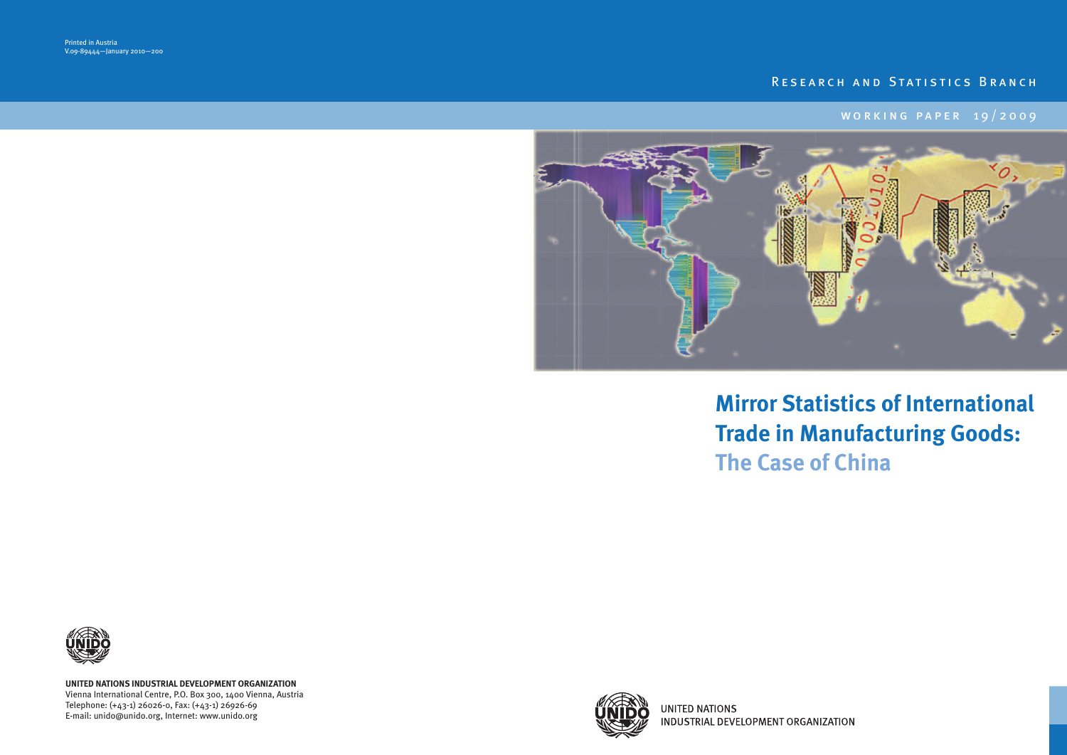# RESEARCH AND STATISTICS BRANCH

# W O R K I N G P A P E R 1 9 / 2 0 0 9



# **Mirror Statistics of International Trade in Manufacturing Goods: The Case of China**



**UNITED NATIONS** INDUSTRIAL DEVELOPMENT ORGANIZATION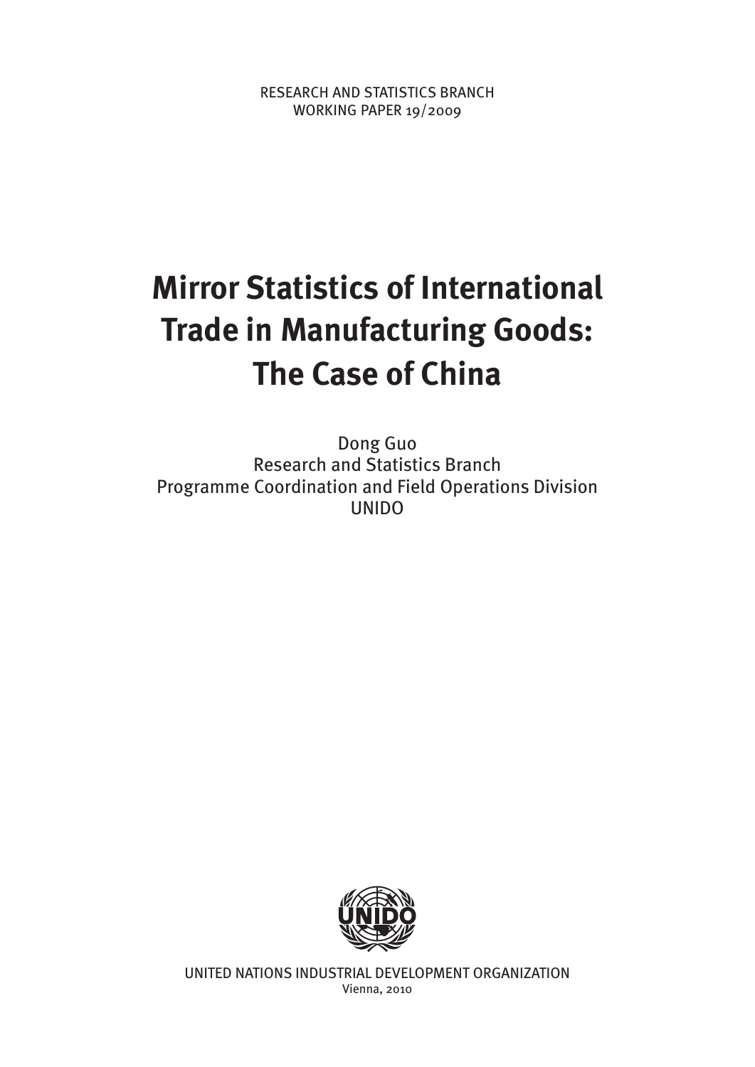RESEARCH AND STATISTICS BRANCH WORKING PAPER 19/2009

# **Mirror Statistics of International Trade in Manufacturing Goods: The Case of China**

Dong Guo Research and Statistics Branch Programme Coordination and Field Operations Division UNIDO



UNITED NATIONS INDUSTRIAL DEVELOPMENT ORGANIZATION Vienna, 2010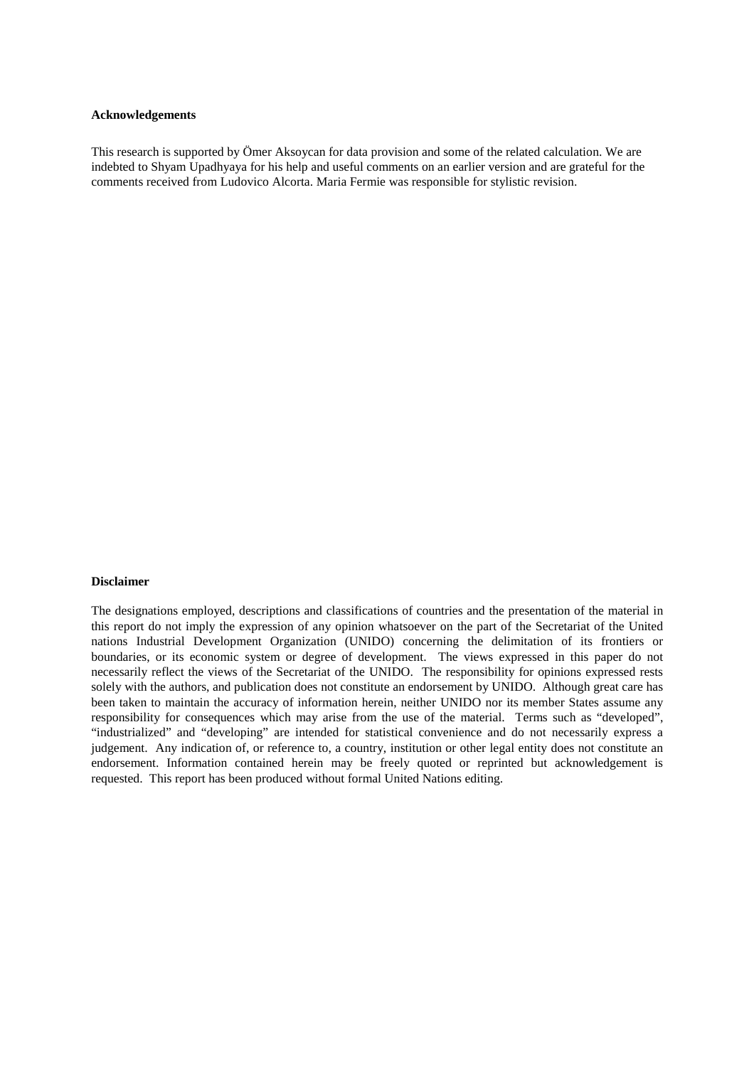#### **Acknowledgements**

This research is supported by Ömer Aksoycan for data provision and some of the related calculation. We are indebted to Shyam Upadhyaya for his help and useful comments on an earlier version and are grateful for the comments received from Ludovico Alcorta. Maria Fermie was responsible for stylistic revision.

#### **Disclaimer**

The designations employed, descriptions and classifications of countries and the presentation of the material in this report do not imply the expression of any opinion whatsoever on the part of the Secretariat of the United nations Industrial Development Organization (UNIDO) concerning the delimitation of its frontiers or boundaries, or its economic system or degree of development. The views expressed in this paper do not necessarily reflect the views of the Secretariat of the UNIDO. The responsibility for opinions expressed rests solely with the authors, and publication does not constitute an endorsement by UNIDO. Although great care has been taken to maintain the accuracy of information herein, neither UNIDO nor its member States assume any responsibility for consequences which may arise from the use of the material. Terms such as "developed", "industrialized" and "developing" are intended for statistical convenience and do not necessarily express a judgement. Any indication of, or reference to, a country, institution or other legal entity does not constitute an endorsement. Information contained herein may be freely quoted or reprinted but acknowledgement is requested. This report has been produced without formal United Nations editing.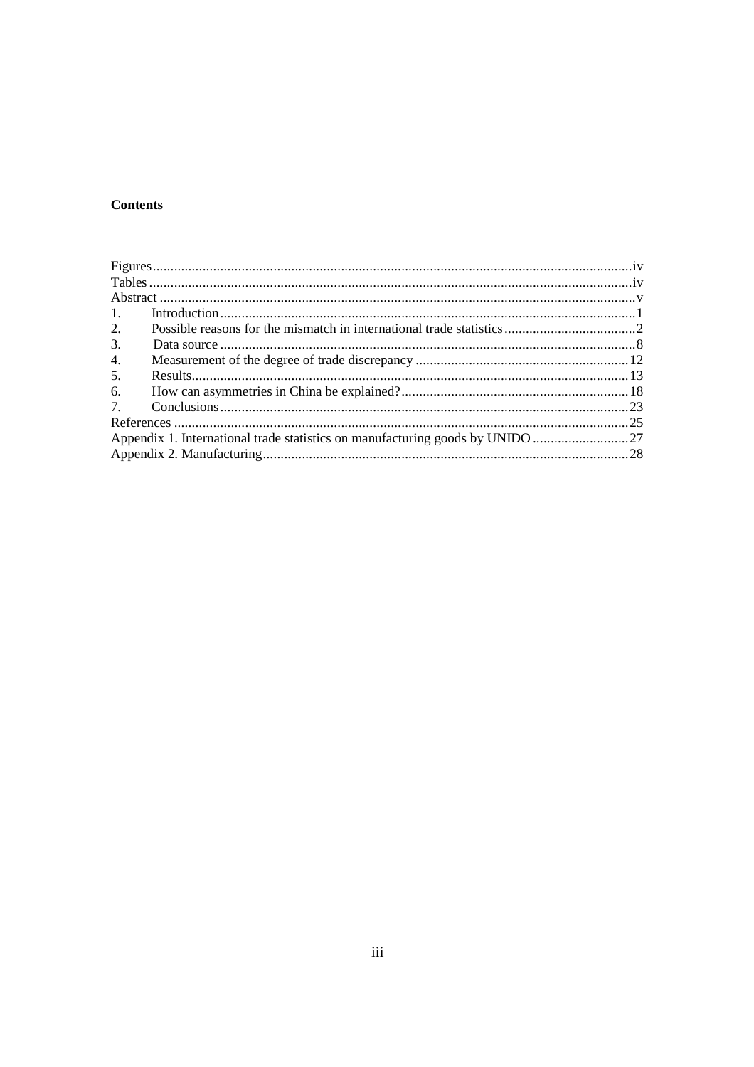# **Contents**

| 1. |                                                                            |  |
|----|----------------------------------------------------------------------------|--|
| 2. |                                                                            |  |
| 3. |                                                                            |  |
| 4. |                                                                            |  |
| 5. |                                                                            |  |
| 6. |                                                                            |  |
|    |                                                                            |  |
|    |                                                                            |  |
|    | Appendix 1. International trade statistics on manufacturing goods by UNIDO |  |
|    |                                                                            |  |
|    |                                                                            |  |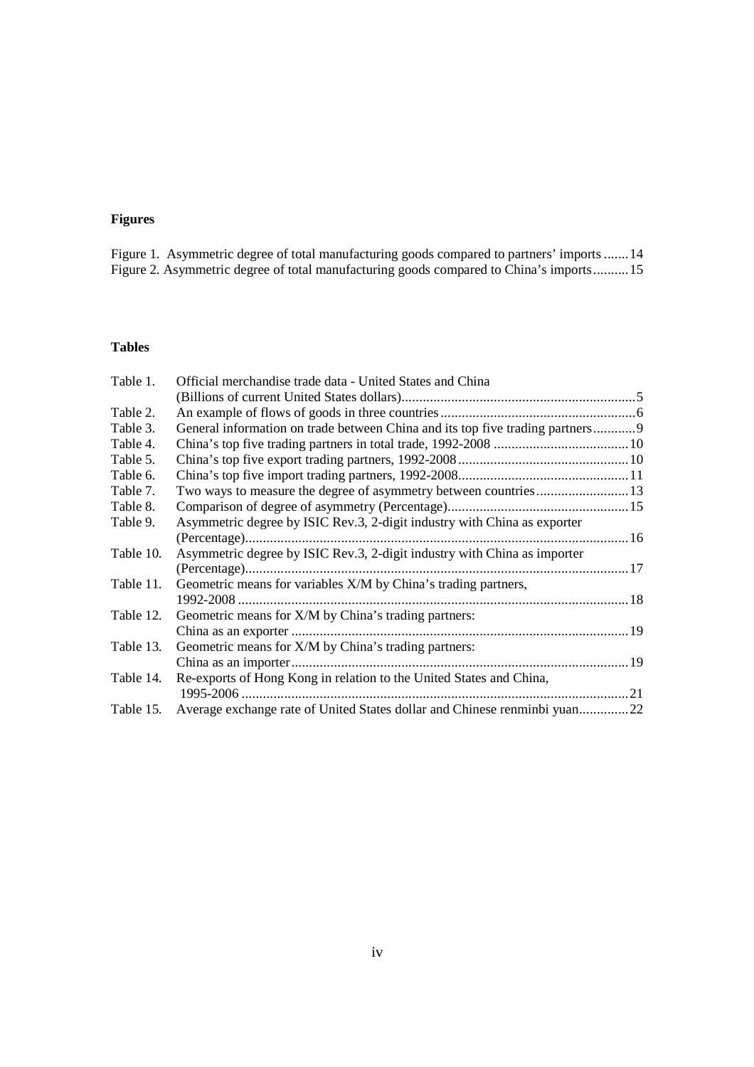# **Figures**

| Figure 1. Asymmetric degree of total manufacturing goods compared to partners' imports  14 |  |  |  |  |
|--------------------------------------------------------------------------------------------|--|--|--|--|
| Figure 2. Asymmetric degree of total manufacturing goods compared to China's imports15     |  |  |  |  |

# **Tables**

| Table 1.  | Official merchandise trade data - United States and China                     |  |
|-----------|-------------------------------------------------------------------------------|--|
|           |                                                                               |  |
| Table 2.  |                                                                               |  |
| Table 3.  | General information on trade between China and its top five trading partners9 |  |
| Table 4.  |                                                                               |  |
| Table 5.  |                                                                               |  |
| Table 6.  |                                                                               |  |
| Table 7.  |                                                                               |  |
| Table 8.  |                                                                               |  |
| Table 9.  | Asymmetric degree by ISIC Rev.3, 2-digit industry with China as exporter      |  |
|           |                                                                               |  |
| Table 10. | Asymmetric degree by ISIC Rev.3, 2-digit industry with China as importer      |  |
|           |                                                                               |  |
| Table 11. | Geometric means for variables X/M by China's trading partners,                |  |
|           |                                                                               |  |
| Table 12. | Geometric means for X/M by China's trading partners:                          |  |
|           |                                                                               |  |
| Table 13. | Geometric means for X/M by China's trading partners:                          |  |
|           |                                                                               |  |
| Table 14. | Re-exports of Hong Kong in relation to the United States and China,           |  |
|           |                                                                               |  |
| Table 15. | Average exchange rate of United States dollar and Chinese renminbi yuan22     |  |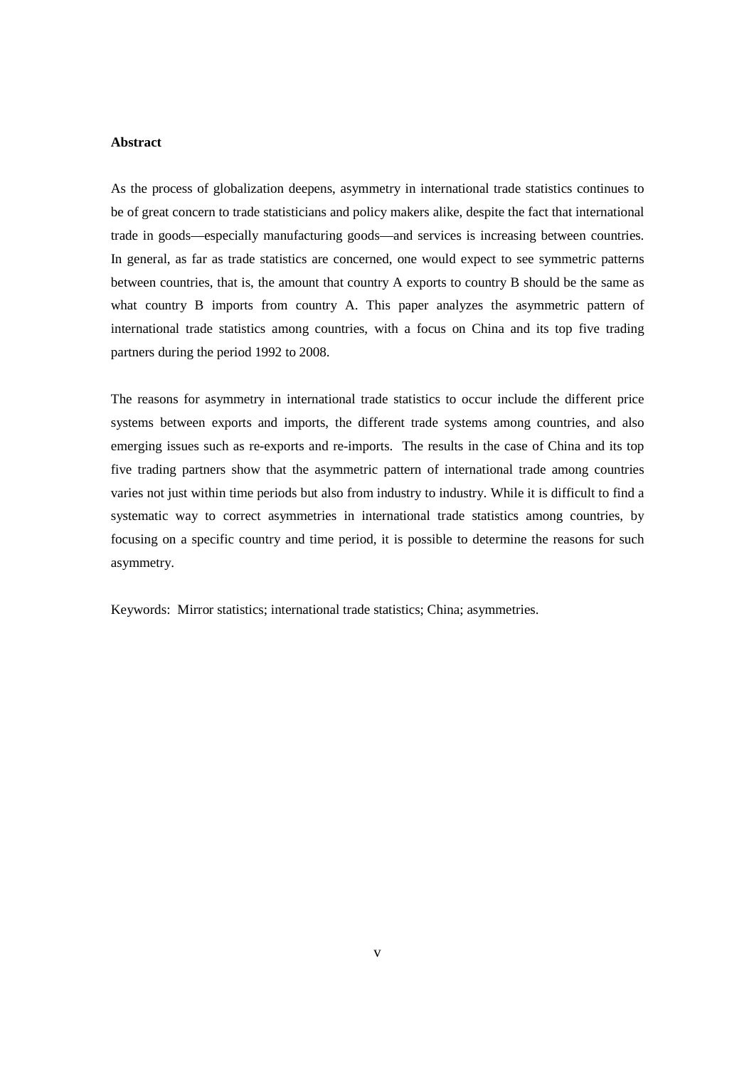#### **Abstract**

As the process of globalization deepens, asymmetry in international trade statistics continues to be of great concern to trade statisticians and policy makers alike, despite the fact that international trade in goods—especially manufacturing goods—and services is increasing between countries. In general, as far as trade statistics are concerned, one would expect to see symmetric patterns between countries, that is, the amount that country A exports to country B should be the same as what country B imports from country A. This paper analyzes the asymmetric pattern of international trade statistics among countries, with a focus on China and its top five trading partners during the period 1992 to 2008.

The reasons for asymmetry in international trade statistics to occur include the different price systems between exports and imports, the different trade systems among countries, and also emerging issues such as re-exports and re-imports. The results in the case of China and its top five trading partners show that the asymmetric pattern of international trade among countries varies not just within time periods but also from industry to industry. While it is difficult to find a systematic way to correct asymmetries in international trade statistics among countries, by focusing on a specific country and time period, it is possible to determine the reasons for such asymmetry.

Keywords: Mirror statistics; international trade statistics; China; asymmetries.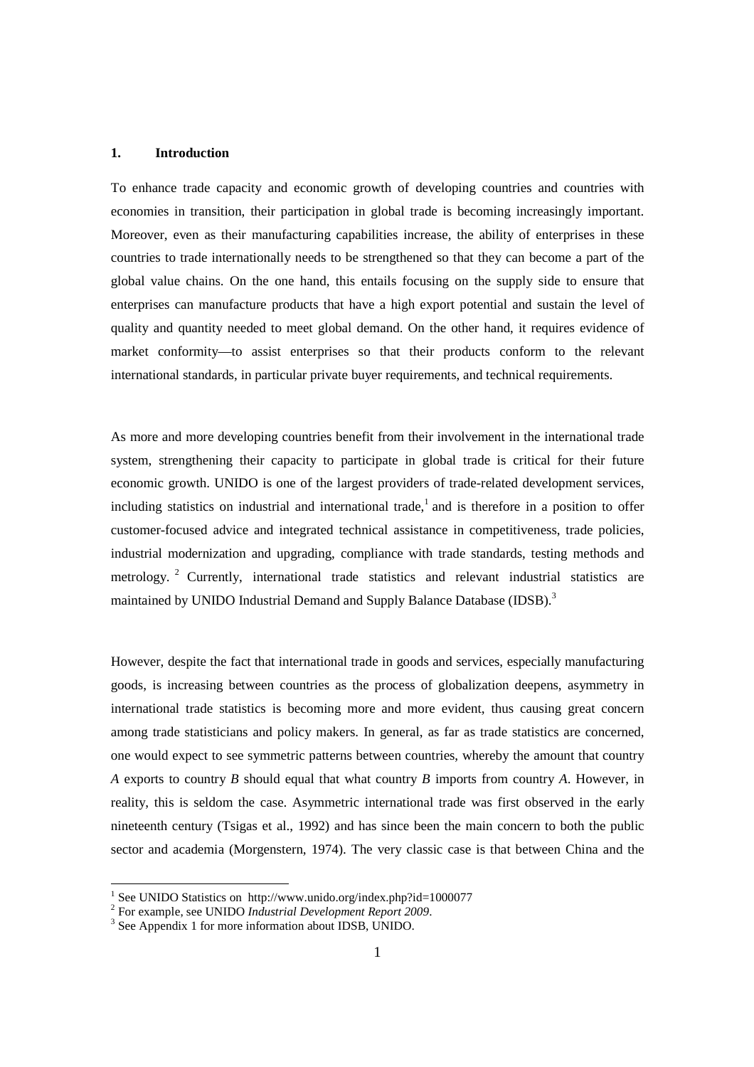### **1. Introduction**

To enhance trade capacity and economic growth of developing countries and countries with economies in transition, their participation in global trade is becoming increasingly important. Moreover, even as their manufacturing capabilities increase, the ability of enterprises in these countries to trade internationally needs to be strengthened so that they can become a part of the global value chains. On the one hand, this entails focusing on the supply side to ensure that enterprises can manufacture products that have a high export potential and sustain the level of quality and quantity needed to meet global demand. On the other hand, it requires evidence of market conformity—to assist enterprises so that their products conform to the relevant international standards, in particular private buyer requirements, and technical requirements.

As more and more developing countries benefit from their involvement in the international trade system, strengthening their capacity to participate in global trade is critical for their future economic growth. UNIDO is one of the largest providers of trade-related development services, including statistics on industrial and international trade,<sup>1</sup> and is therefore in a position to offer customer-focused advice and integrated technical assistance in competitiveness, trade policies, industrial modernization and upgrading, compliance with trade standards, testing methods and metrology.<sup>2</sup> Currently, international trade statistics and relevant industrial statistics are maintained by UNIDO Industrial Demand and Supply Balance Database (IDSB).<sup>3</sup>

However, despite the fact that international trade in goods and services, especially manufacturing goods, is increasing between countries as the process of globalization deepens, asymmetry in international trade statistics is becoming more and more evident, thus causing great concern among trade statisticians and policy makers. In general, as far as trade statistics are concerned, one would expect to see symmetric patterns between countries, whereby the amount that country *A* exports to country *B* should equal that what country *B* imports from country *A*. However, in reality, this is seldom the case. Asymmetric international trade was first observed in the early nineteenth century (Tsigas et al., 1992) and has since been the main concern to both the public sector and academia (Morgenstern, 1974). The very classic case is that between China and the

 1 See UNIDO Statistics on http://www.unido.org/index.php?id=1000077

<sup>2</sup> For example, see UNIDO *Industrial Development Report 2009*.

<sup>&</sup>lt;sup>3</sup> See Appendix 1 for more information about IDSB, UNIDO.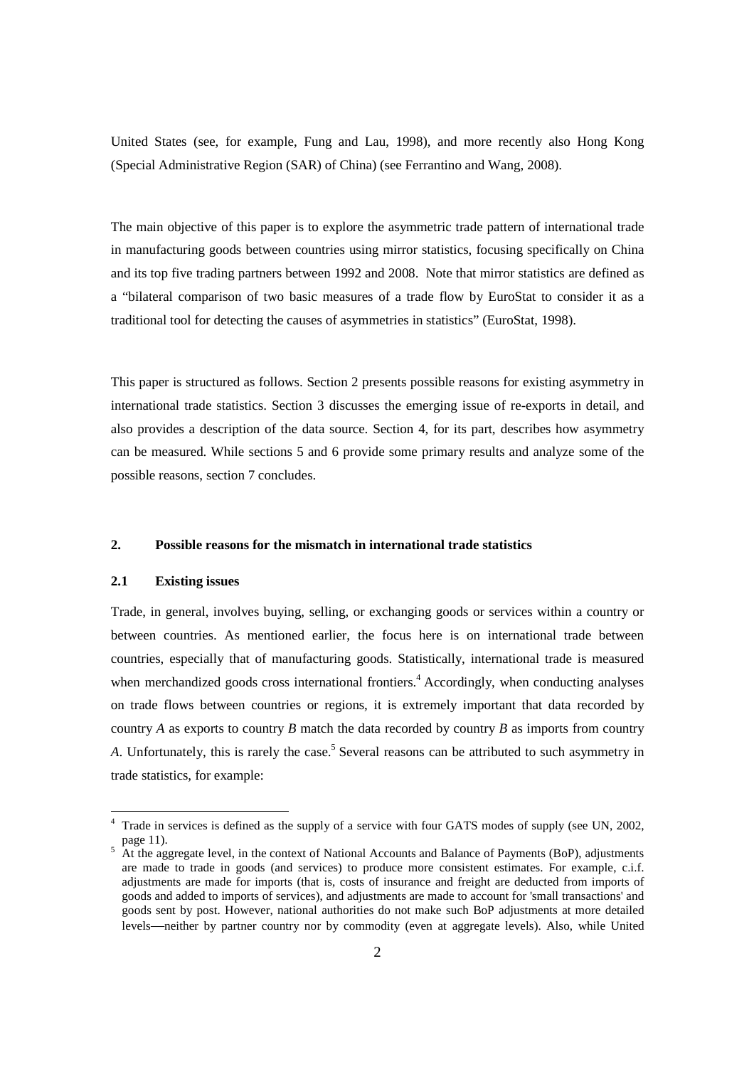United States (see, for example, Fung and Lau, 1998), and more recently also Hong Kong (Special Administrative Region (SAR) of China) (see Ferrantino and Wang, 2008).

The main objective of this paper is to explore the asymmetric trade pattern of international trade in manufacturing goods between countries using mirror statistics, focusing specifically on China and its top five trading partners between 1992 and 2008. Note that mirror statistics are defined as a "bilateral comparison of two basic measures of a trade flow by EuroStat to consider it as a traditional tool for detecting the causes of asymmetries in statistics" (EuroStat, 1998).

This paper is structured as follows. Section 2 presents possible reasons for existing asymmetry in international trade statistics. Section 3 discusses the emerging issue of re-exports in detail, and also provides a description of the data source. Section 4, for its part, describes how asymmetry can be measured. While sections 5 and 6 provide some primary results and analyze some of the possible reasons, section 7 concludes.

#### **2. Possible reasons for the mismatch in international trade statistics**

# **2.1 Existing issues**

Trade, in general, involves buying, selling, or exchanging goods or services within a country or between countries. As mentioned earlier, the focus here is on international trade between countries, especially that of manufacturing goods. Statistically, international trade is measured when merchandized goods cross international frontiers.<sup>4</sup> Accordingly, when conducting analyses on trade flows between countries or regions, it is extremely important that data recorded by country *A* as exports to country *B* match the data recorded by country *B* as imports from country A. Unfortunately, this is rarely the case.<sup>5</sup> Several reasons can be attributed to such asymmetry in trade statistics, for example:

<sup>&</sup>lt;sup>4</sup> Trade in services is defined as the supply of a service with four GATS modes of supply (see UN, 2002, page 11).<br>
<sup>5</sup> At the aggregate level, in the context of National Accounts and Balance of Payments (BoP), adjustments

are made to trade in goods (and services) to produce more consistent estimates. For example, c.i.f. adjustments are made for imports (that is, costs of insurance and freight are deducted from imports of goods and added to imports of services), and adjustments are made to account for 'small transactions' and goods sent by post. However, national authorities do not make such BoP adjustments at more detailed levels—neither by partner country nor by commodity (even at aggregate levels). Also, while United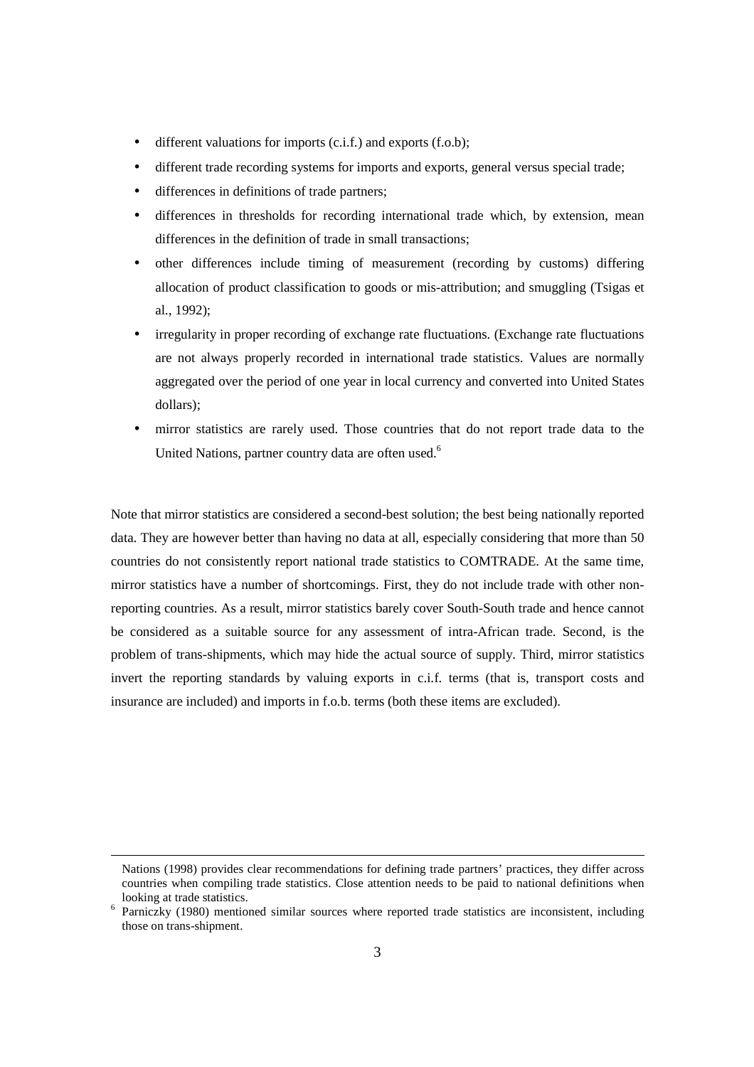- different valuations for imports (c.i.f.) and exports (f.o.b);
- different trade recording systems for imports and exports, general versus special trade;
- differences in definitions of trade partners;
- differences in thresholds for recording international trade which, by extension, mean differences in the definition of trade in small transactions;
- other differences include timing of measurement (recording by customs) differing allocation of product classification to goods or mis-attribution; and smuggling (Tsigas et al., 1992);
- irregularity in proper recording of exchange rate fluctuations. (Exchange rate fluctuations are not always properly recorded in international trade statistics. Values are normally aggregated over the period of one year in local currency and converted into United States dollars);
- mirror statistics are rarely used. Those countries that do not report trade data to the United Nations, partner country data are often used.<sup>6</sup>

Note that mirror statistics are considered a second-best solution; the best being nationally reported data. They are however better than having no data at all, especially considering that more than 50 countries do not consistently report national trade statistics to COMTRADE. At the same time, mirror statistics have a number of shortcomings. First, they do not include trade with other nonreporting countries. As a result, mirror statistics barely cover South-South trade and hence cannot be considered as a suitable source for any assessment of intra-African trade. Second, is the problem of trans-shipments, which may hide the actual source of supply. Third, mirror statistics invert the reporting standards by valuing exports in c.i.f. terms (that is, transport costs and insurance are included) and imports in f.o.b. terms (both these items are excluded).

 $\overline{a}$ 

Nations (1998) provides clear recommendations for defining trade partners' practices, they differ across countries when compiling trade statistics. Close attention needs to be paid to national definitions when looking at trade statistics.

<sup>&</sup>lt;sup>6</sup> Parniczky (1980) mentioned similar sources where reported trade statistics are inconsistent, including those on trans-shipment.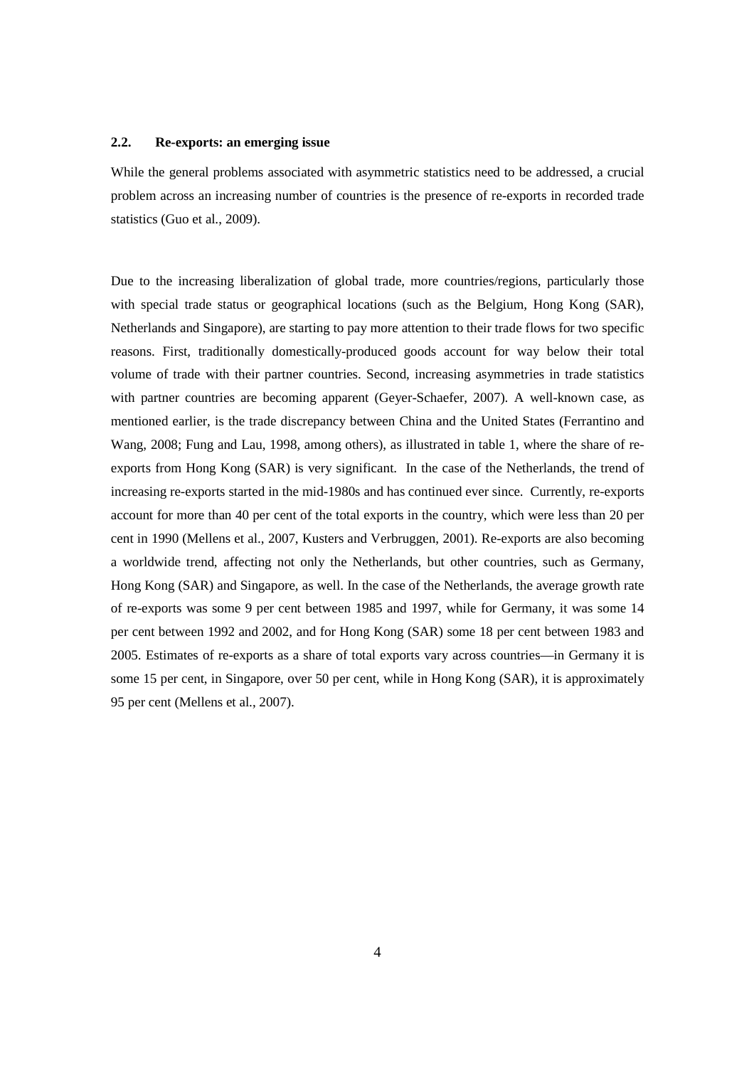#### **2.2. Re-exports: an emerging issue**

While the general problems associated with asymmetric statistics need to be addressed, a crucial problem across an increasing number of countries is the presence of re-exports in recorded trade statistics (Guo et al., 2009).

Due to the increasing liberalization of global trade, more countries/regions, particularly those with special trade status or geographical locations (such as the Belgium, Hong Kong (SAR), Netherlands and Singapore), are starting to pay more attention to their trade flows for two specific reasons. First, traditionally domestically-produced goods account for way below their total volume of trade with their partner countries. Second, increasing asymmetries in trade statistics with partner countries are becoming apparent (Geyer-Schaefer, 2007). A well-known case, as mentioned earlier, is the trade discrepancy between China and the United States (Ferrantino and Wang, 2008; Fung and Lau, 1998, among others), as illustrated in table 1, where the share of reexports from Hong Kong (SAR) is very significant. In the case of the Netherlands, the trend of increasing re-exports started in the mid-1980s and has continued ever since. Currently, re-exports account for more than 40 per cent of the total exports in the country, which were less than 20 per cent in 1990 (Mellens et al., 2007, Kusters and Verbruggen, 2001). Re-exports are also becoming a worldwide trend, affecting not only the Netherlands, but other countries, such as Germany, Hong Kong (SAR) and Singapore, as well. In the case of the Netherlands, the average growth rate of re-exports was some 9 per cent between 1985 and 1997, while for Germany, it was some 14 per cent between 1992 and 2002, and for Hong Kong (SAR) some 18 per cent between 1983 and 2005. Estimates of re-exports as a share of total exports vary across countries—in Germany it is some 15 per cent, in Singapore, over 50 per cent, while in Hong Kong (SAR), it is approximately 95 per cent (Mellens et al., 2007).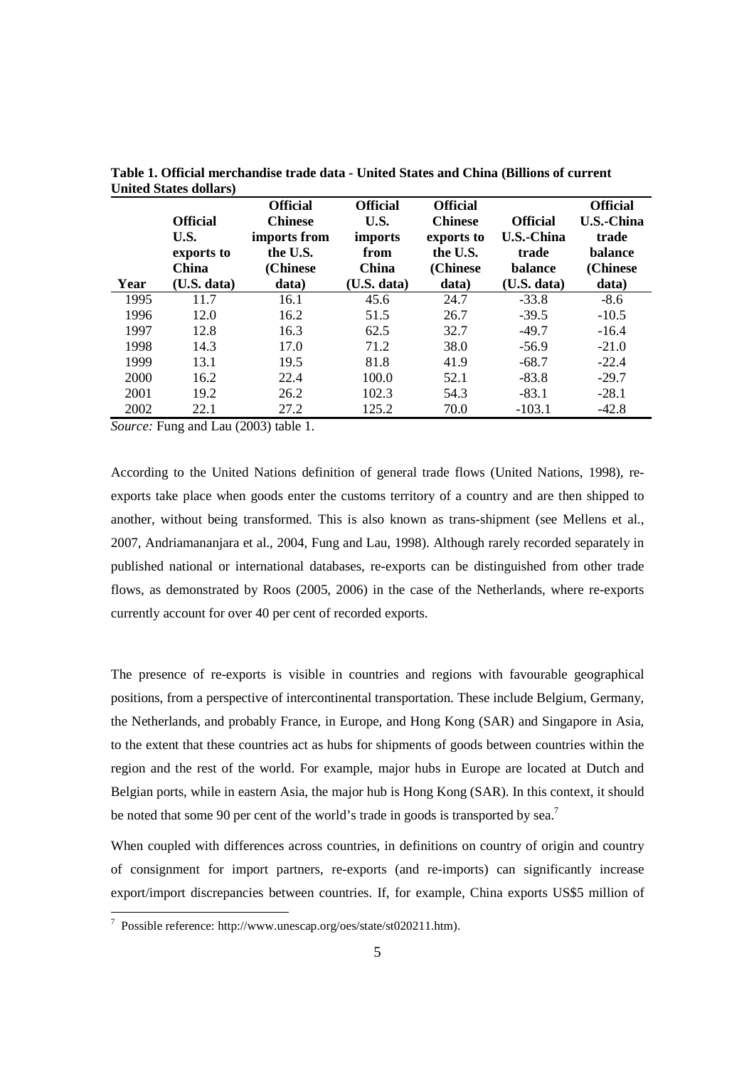| Year | <b>Official</b><br>U.S.<br>exports to<br><b>China</b><br>(U.S. data) | <b>Official</b><br><b>Chinese</b><br>imports from<br>the U.S.<br>(Chinese)<br>data) | <b>Official</b><br>U.S.<br><i>imports</i><br>from<br><b>China</b><br>(U.S. data) | <b>Official</b><br><b>Chinese</b><br>exports to<br>the U.S.<br>(Chinese)<br>data) | <b>Official</b><br><b>U.S.-China</b><br>trade<br>balance<br>(U.S. data) | <b>Official</b><br>U.S.-China<br>trade<br>balance<br>(Chinese)<br>data) |
|------|----------------------------------------------------------------------|-------------------------------------------------------------------------------------|----------------------------------------------------------------------------------|-----------------------------------------------------------------------------------|-------------------------------------------------------------------------|-------------------------------------------------------------------------|
| 1995 | 11.7                                                                 | 16.1                                                                                | 45.6                                                                             | 24.7                                                                              | $-33.8$                                                                 | $-8.6$                                                                  |
| 1996 | 12.0                                                                 | 16.2                                                                                | 51.5                                                                             | 26.7                                                                              | $-39.5$                                                                 | $-10.5$                                                                 |
| 1997 | 12.8                                                                 | 16.3                                                                                | 62.5                                                                             | 32.7                                                                              | $-49.7$                                                                 | $-16.4$                                                                 |
| 1998 | 14.3                                                                 | 17.0                                                                                | 71.2                                                                             | 38.0                                                                              | $-56.9$                                                                 | $-21.0$                                                                 |
| 1999 | 13.1                                                                 | 19.5                                                                                | 81.8                                                                             | 41.9                                                                              | $-68.7$                                                                 | $-22.4$                                                                 |
| 2000 | 16.2                                                                 | 22.4                                                                                | 100.0                                                                            | 52.1                                                                              | $-83.8$                                                                 | $-29.7$                                                                 |
| 2001 | 19.2                                                                 | 26.2                                                                                | 102.3                                                                            | 54.3                                                                              | $-83.1$                                                                 | $-28.1$                                                                 |
| 2002 | 22.1                                                                 | 27.2                                                                                | 125.2                                                                            | 70.0                                                                              | $-103.1$                                                                | $-42.8$                                                                 |

**Table 1. Official merchandise trade data - United States and China (Billions of current United States dollars)** 

*Source:* Fung and Lau (2003) table 1.

According to the United Nations definition of general trade flows (United Nations, 1998), reexports take place when goods enter the customs territory of a country and are then shipped to another, without being transformed. This is also known as trans-shipment (see Mellens et al., 2007, Andriamananjara et al., 2004, Fung and Lau, 1998). Although rarely recorded separately in published national or international databases, re-exports can be distinguished from other trade flows, as demonstrated by Roos (2005, 2006) in the case of the Netherlands, where re-exports currently account for over 40 per cent of recorded exports.

The presence of re-exports is visible in countries and regions with favourable geographical positions, from a perspective of intercontinental transportation. These include Belgium, Germany, the Netherlands, and probably France, in Europe, and Hong Kong (SAR) and Singapore in Asia, to the extent that these countries act as hubs for shipments of goods between countries within the region and the rest of the world. For example, major hubs in Europe are located at Dutch and Belgian ports, while in eastern Asia, the major hub is Hong Kong (SAR). In this context, it should be noted that some 90 per cent of the world's trade in goods is transported by sea.<sup>7</sup>

When coupled with differences across countries, in definitions on country of origin and country of consignment for import partners, re-exports (and re-imports) can significantly increase export/import discrepancies between countries. If, for example, China exports US\$5 million of

 7 Possible reference: http://www.unescap.org/oes/state/st020211.htm).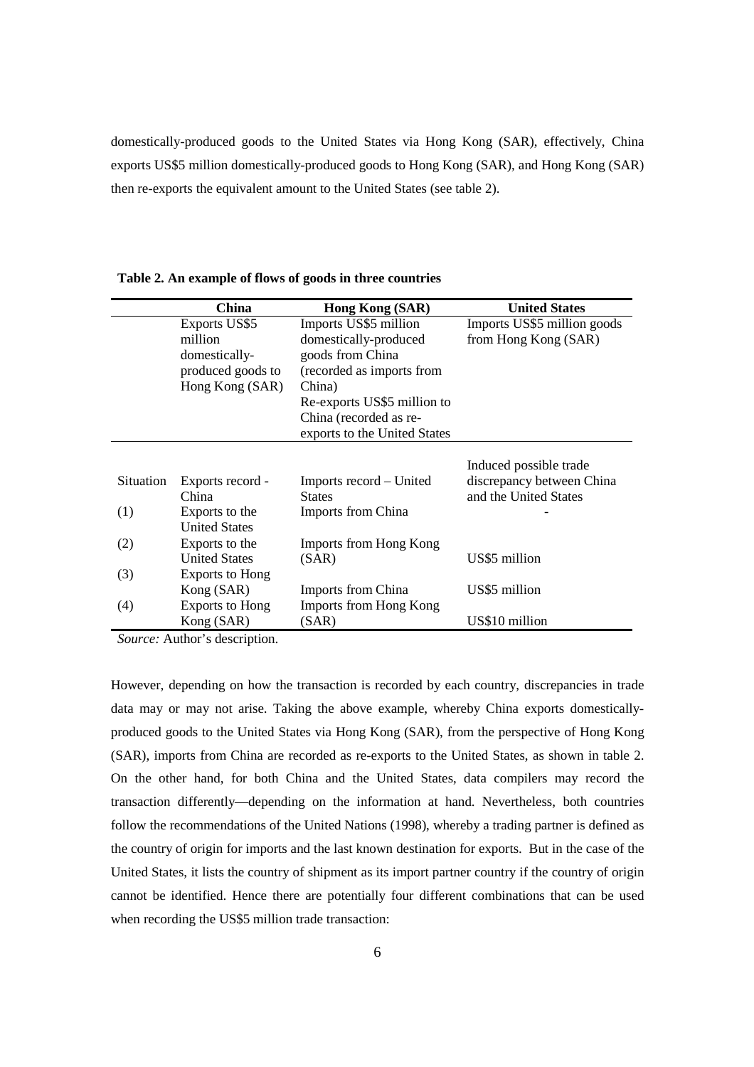domestically-produced goods to the United States via Hong Kong (SAR), effectively, China exports US\$5 million domestically-produced goods to Hong Kong (SAR), and Hong Kong (SAR) then re-exports the equivalent amount to the United States (see table 2).

|           | China                  | Hong Kong (SAR)              | <b>United States</b>        |
|-----------|------------------------|------------------------------|-----------------------------|
|           | Exports US\$5          | Imports US\$5 million        | Imports US\$5 million goods |
|           | million                | domestically-produced        | from Hong Kong (SAR)        |
|           | domestically-          | goods from China             |                             |
|           | produced goods to      | (recorded as imports from    |                             |
|           | Hong Kong (SAR)        | China)                       |                             |
|           |                        | Re-exports US\$5 million to  |                             |
|           |                        | China (recorded as re-       |                             |
|           |                        | exports to the United States |                             |
|           |                        |                              |                             |
|           |                        |                              | Induced possible trade      |
| Situation | Exports record -       | Imports record – United      | discrepancy between China   |
|           | China                  | <b>States</b>                | and the United States       |
| (1)       | Exports to the         | <b>Imports from China</b>    |                             |
|           | <b>United States</b>   |                              |                             |
| (2)       | Exports to the         | Imports from Hong Kong       |                             |
|           | <b>United States</b>   | (SAR)                        | US\$5 million               |
| (3)       | <b>Exports to Hong</b> |                              |                             |
|           | Kong (SAR)             | <b>Imports from China</b>    | US\$5 million               |
| (4)       | <b>Exports to Hong</b> | Imports from Hong Kong       |                             |
|           | Kong (SAR)             | (SAR)                        | US\$10 million              |

**Table 2. An example of flows of goods in three countries** 

*Source:* Author's description.

However, depending on how the transaction is recorded by each country, discrepancies in trade data may or may not arise. Taking the above example, whereby China exports domesticallyproduced goods to the United States via Hong Kong (SAR), from the perspective of Hong Kong (SAR), imports from China are recorded as re-exports to the United States, as shown in table 2. On the other hand, for both China and the United States, data compilers may record the transaction differently—depending on the information at hand. Nevertheless, both countries follow the recommendations of the United Nations (1998), whereby a trading partner is defined as the country of origin for imports and the last known destination for exports. But in the case of the United States, it lists the country of shipment as its import partner country if the country of origin cannot be identified. Hence there are potentially four different combinations that can be used when recording the US\$5 million trade transaction: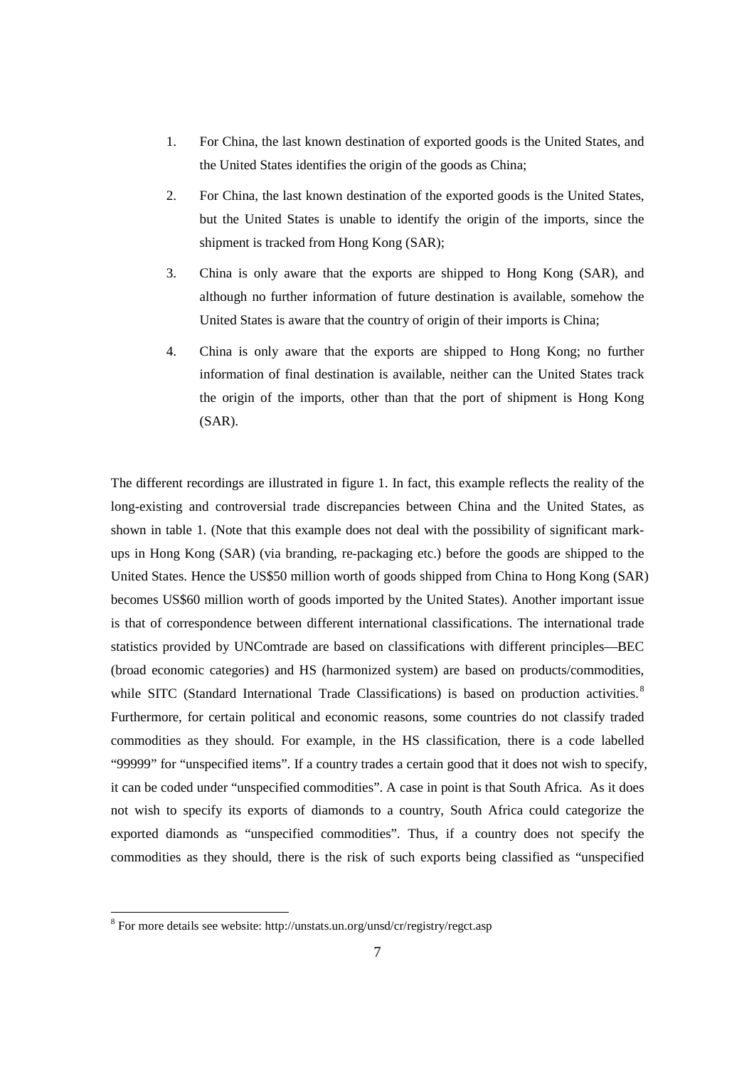- 1. For China, the last known destination of exported goods is the United States, and the United States identifies the origin of the goods as China;
- 2. For China, the last known destination of the exported goods is the United States, but the United States is unable to identify the origin of the imports, since the shipment is tracked from Hong Kong (SAR);
- 3. China is only aware that the exports are shipped to Hong Kong (SAR), and although no further information of future destination is available, somehow the United States is aware that the country of origin of their imports is China;
- 4. China is only aware that the exports are shipped to Hong Kong; no further information of final destination is available, neither can the United States track the origin of the imports, other than that the port of shipment is Hong Kong (SAR).

The different recordings are illustrated in figure 1. In fact, this example reflects the reality of the long-existing and controversial trade discrepancies between China and the United States, as shown in table 1. (Note that this example does not deal with the possibility of significant markups in Hong Kong (SAR) (via branding, re-packaging etc.) before the goods are shipped to the United States. Hence the US\$50 million worth of goods shipped from China to Hong Kong (SAR) becomes US\$60 million worth of goods imported by the United States). Another important issue is that of correspondence between different international classifications. The international trade statistics provided by UNComtrade are based on classifications with different principles—BEC (broad economic categories) and HS (harmonized system) are based on products/commodities, while SITC (Standard International Trade Classifications) is based on production activities.<sup>8</sup> Furthermore, for certain political and economic reasons, some countries do not classify traded commodities as they should. For example, in the HS classification, there is a code labelled "99999" for "unspecified items". If a country trades a certain good that it does not wish to specify, it can be coded under "unspecified commodities". A case in point is that South Africa. As it does not wish to specify its exports of diamonds to a country, South Africa could categorize the exported diamonds as "unspecified commodities". Thus, if a country does not specify the commodities as they should, there is the risk of such exports being classified as "unspecified

 8 For more details see website: http://unstats.un.org/unsd/cr/registry/regct.asp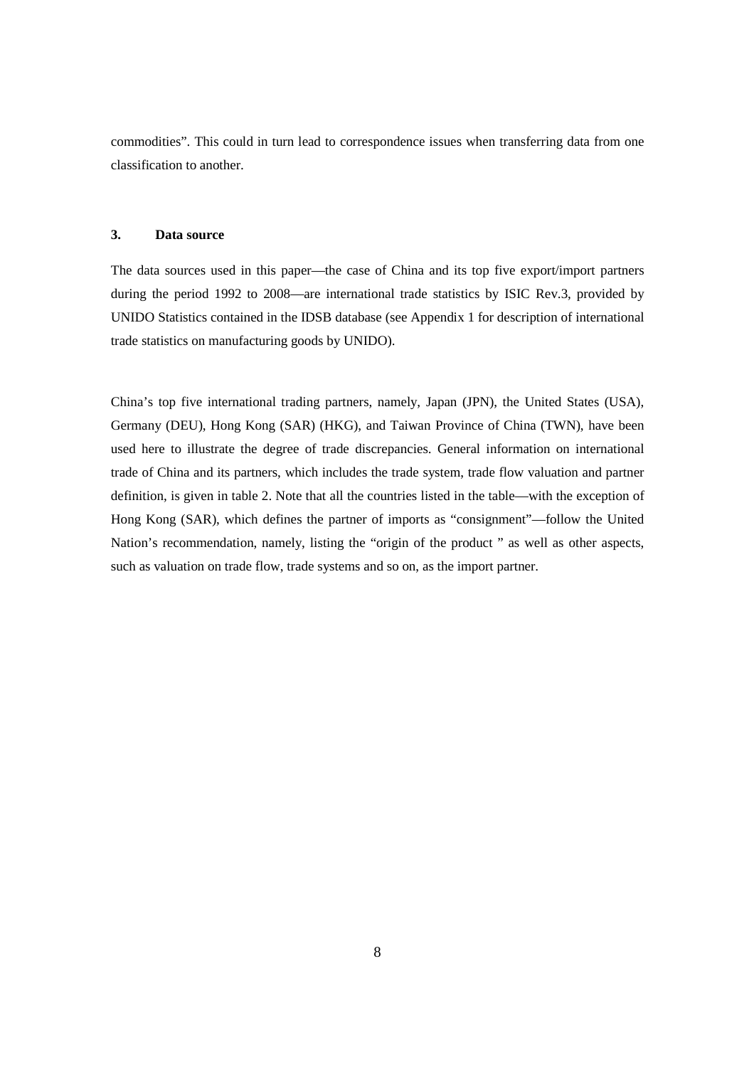commodities". This could in turn lead to correspondence issues when transferring data from one classification to another.

# **3. Data source**

The data sources used in this paper—the case of China and its top five export/import partners during the period 1992 to 2008—are international trade statistics by ISIC Rev.3, provided by UNIDO Statistics contained in the IDSB database (see Appendix 1 for description of international trade statistics on manufacturing goods by UNIDO).

China's top five international trading partners, namely, Japan (JPN), the United States (USA), Germany (DEU), Hong Kong (SAR) (HKG), and Taiwan Province of China (TWN), have been used here to illustrate the degree of trade discrepancies. General information on international trade of China and its partners, which includes the trade system, trade flow valuation and partner definition, is given in table 2. Note that all the countries listed in the table—with the exception of Hong Kong (SAR), which defines the partner of imports as "consignment"—follow the United Nation's recommendation, namely, listing the "origin of the product " as well as other aspects, such as valuation on trade flow, trade systems and so on, as the import partner.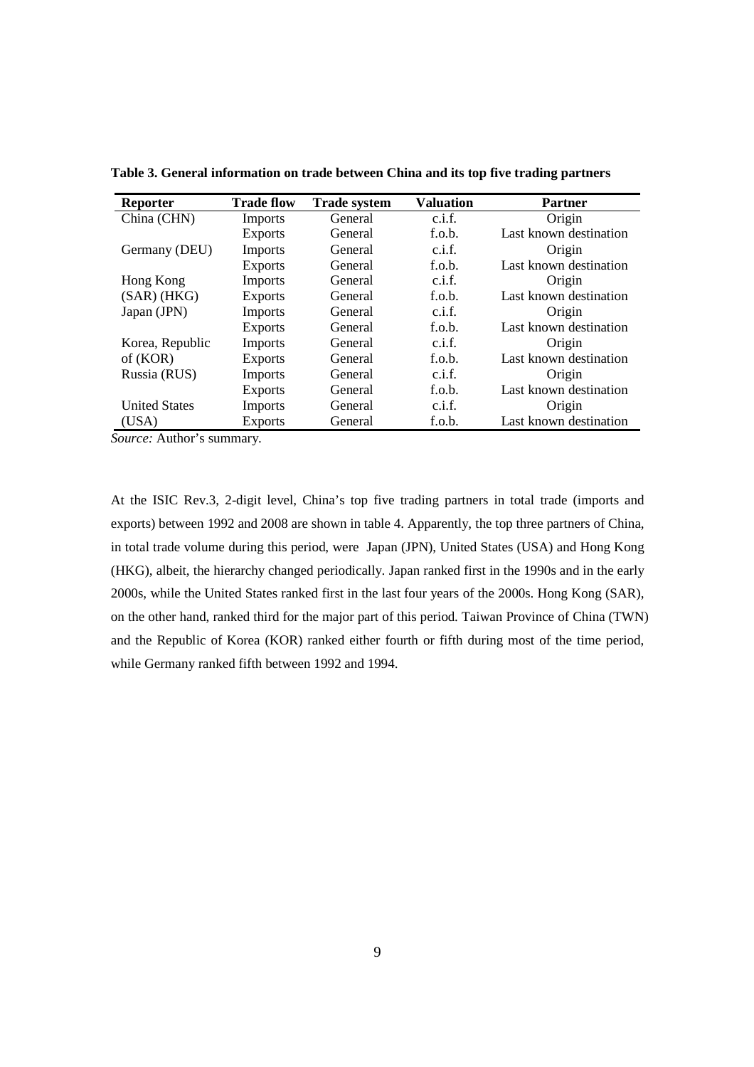| <b>Reporter</b>      | <b>Trade flow</b> | <b>Trade system</b> | <b>Valuation</b> | <b>Partner</b>         |
|----------------------|-------------------|---------------------|------------------|------------------------|
| China (CHN)          | Imports           | General             | c.i.f.           | Origin                 |
|                      | <b>Exports</b>    | General             | f.o.b.           | Last known destination |
| Germany (DEU)        | Imports           | General             | c.i.f.           | Origin                 |
|                      | <b>Exports</b>    | General             | f.o.b.           | Last known destination |
| Hong Kong            | Imports           | General             | c.i.f.           | Origin                 |
| $(SAR)$ (HKG)        | <b>Exports</b>    | General             | f.o.b.           | Last known destination |
| Japan (JPN)          | Imports           | General             | c.i.f.           | Origin                 |
|                      | <b>Exports</b>    | General             | f.o.b.           | Last known destination |
| Korea, Republic      | Imports           | General             | c.i.f.           | Origin                 |
| of (KOR)             | <b>Exports</b>    | General             | f.o.b.           | Last known destination |
| Russia (RUS)         | Imports           | General             | c.i.f.           | Origin                 |
|                      | <b>Exports</b>    | General             | f.o.b.           | Last known destination |
| <b>United States</b> | <b>Imports</b>    | General             | c.i.f.           | Origin                 |
| (USA)                | <b>Exports</b>    | General             | f.o.b.           | Last known destination |

**Table 3. General information on trade between China and its top five trading partners** 

*Source:* Author's summary.

At the ISIC Rev.3, 2-digit level, China's top five trading partners in total trade (imports and exports) between 1992 and 2008 are shown in table 4. Apparently, the top three partners of China, in total trade volume during this period, were Japan (JPN), United States (USA) and Hong Kong (HKG), albeit, the hierarchy changed periodically. Japan ranked first in the 1990s and in the early 2000s, while the United States ranked first in the last four years of the 2000s. Hong Kong (SAR), on the other hand, ranked third for the major part of this period. Taiwan Province of China (TWN) and the Republic of Korea (KOR) ranked either fourth or fifth during most of the time period, while Germany ranked fifth between 1992 and 1994.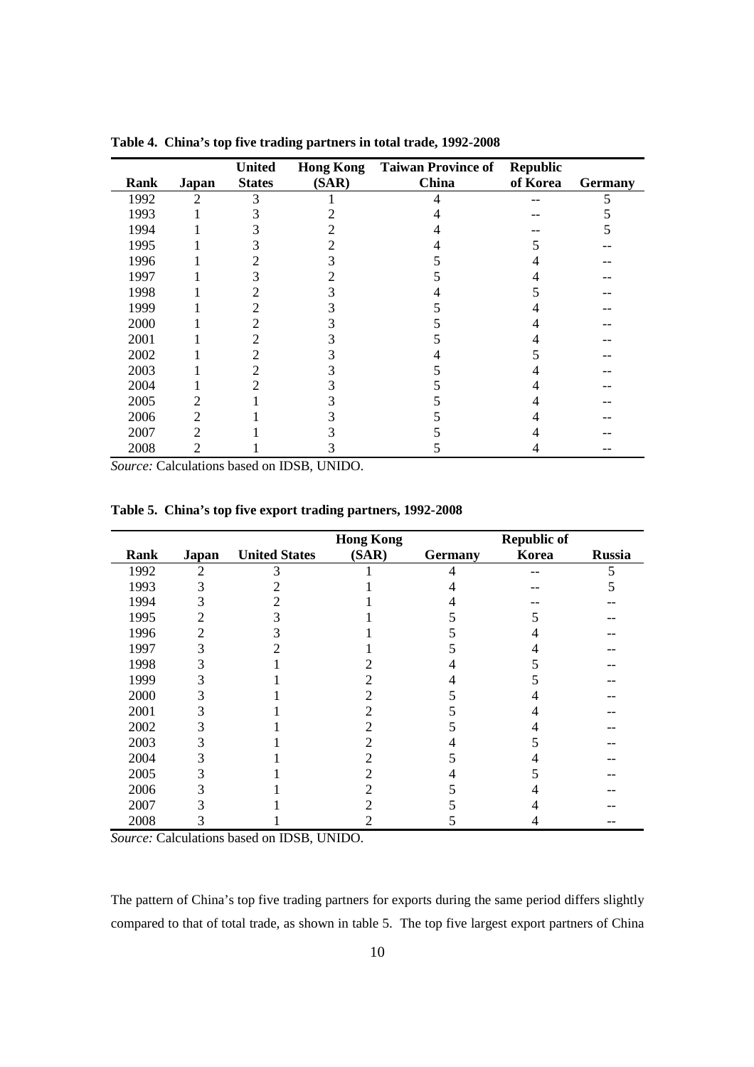|             |                | <b>United</b> |       | <b>Hong Kong</b> Taiwan Province of | <b>Republic</b> |                |
|-------------|----------------|---------------|-------|-------------------------------------|-----------------|----------------|
| <b>Rank</b> | Japan          | <b>States</b> | (SAR) | China                               | of Korea        | <b>Germany</b> |
| 1992        | 2              |               |       |                                     |                 |                |
| 1993        |                |               |       |                                     |                 |                |
| 1994        |                |               |       |                                     |                 |                |
| 1995        |                |               |       |                                     |                 |                |
| 1996        |                |               |       |                                     |                 |                |
| 1997        |                | 3             |       |                                     |                 |                |
| 1998        |                | 2             |       |                                     |                 |                |
| 1999        |                | 2             |       |                                     |                 |                |
| 2000        |                |               |       |                                     |                 |                |
| 2001        |                |               |       |                                     |                 |                |
| 2002        |                |               |       |                                     |                 |                |
| 2003        |                |               |       |                                     |                 |                |
| 2004        |                |               |       |                                     |                 |                |
| 2005        | 2              |               |       |                                     |                 |                |
| 2006        | $\mathfrak{D}$ |               |       |                                     |                 |                |
| 2007        | 2              |               |       |                                     |                 |                |
| 2008        |                |               |       |                                     |                 |                |

**Table 4. China's top five trading partners in total trade, 1992-2008** 

*Source:* Calculations based on IDSB, UNIDO.

|  | Table 5. China's top five export trading partners, 1992-2008 |  |
|--|--------------------------------------------------------------|--|
|  |                                                              |  |

|      |       |                      | <b>Hong Kong</b> |                | <b>Republic of</b> |               |
|------|-------|----------------------|------------------|----------------|--------------------|---------------|
| Rank | Japan | <b>United States</b> | (SAR)            | <b>Germany</b> | Korea              | <b>Russia</b> |
| 1992 | 2     |                      |                  |                |                    | 5             |
| 1993 | 3     |                      |                  |                |                    |               |
| 1994 | 3     |                      |                  |                |                    |               |
| 1995 | 2     |                      |                  |                |                    |               |
| 1996 | 2     |                      |                  |                |                    |               |
| 1997 | 3     |                      |                  |                |                    |               |
| 1998 | 3     |                      |                  |                |                    |               |
| 1999 | ć.    |                      |                  |                |                    |               |
| 2000 |       |                      |                  |                |                    |               |
| 2001 |       |                      |                  |                |                    |               |
| 2002 |       |                      |                  |                |                    |               |
| 2003 | 3     |                      |                  |                |                    |               |
| 2004 | 3     |                      |                  |                |                    |               |
| 2005 | 3     |                      |                  |                |                    |               |
| 2006 | 3     |                      |                  |                |                    |               |
| 2007 | 3     |                      |                  |                |                    |               |
| 2008 | ∍     |                      |                  |                |                    |               |

*Source:* Calculations based on IDSB, UNIDO.

The pattern of China's top five trading partners for exports during the same period differs slightly compared to that of total trade, as shown in table 5. The top five largest export partners of China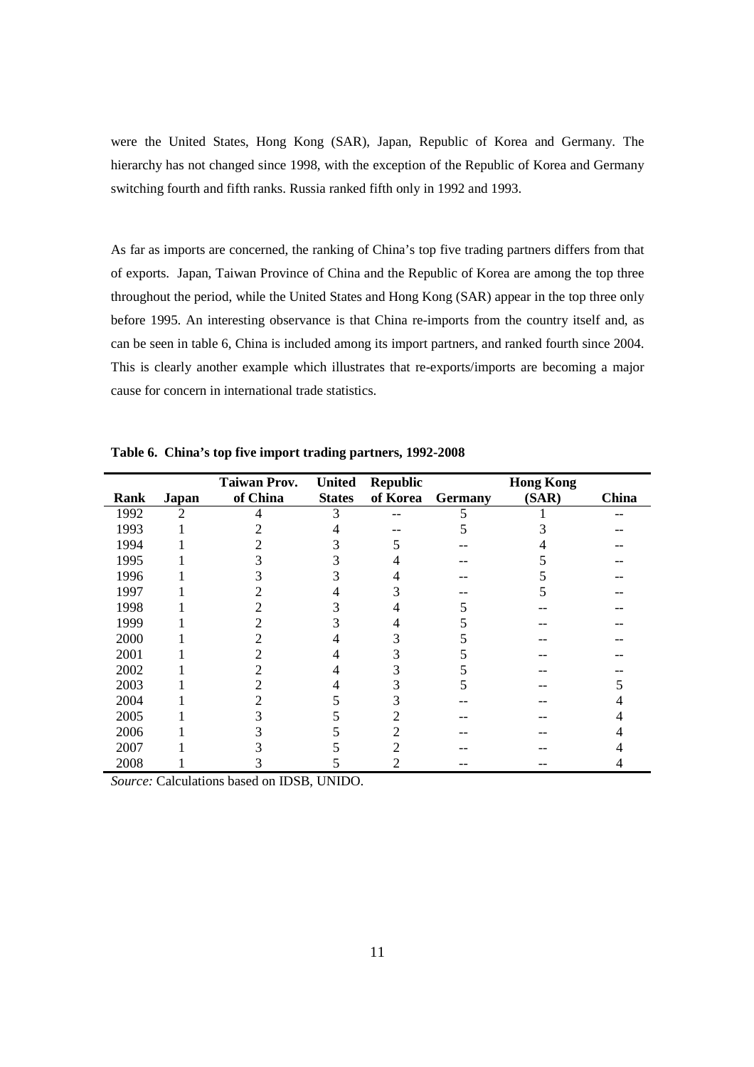were the United States, Hong Kong (SAR), Japan, Republic of Korea and Germany. The hierarchy has not changed since 1998, with the exception of the Republic of Korea and Germany switching fourth and fifth ranks. Russia ranked fifth only in 1992 and 1993.

As far as imports are concerned, the ranking of China's top five trading partners differs from that of exports. Japan, Taiwan Province of China and the Republic of Korea are among the top three throughout the period, while the United States and Hong Kong (SAR) appear in the top three only before 1995. An interesting observance is that China re-imports from the country itself and, as can be seen in table 6, China is included among its import partners, and ranked fourth since 2004. This is clearly another example which illustrates that re-exports/imports are becoming a major cause for concern in international trade statistics.

|             |                | <b>Taiwan Prov.</b> | <b>United</b> | <b>Republic</b> |                | <b>Hong Kong</b> |       |
|-------------|----------------|---------------------|---------------|-----------------|----------------|------------------|-------|
| <b>Rank</b> | <b>Japan</b>   | of China            | <b>States</b> | of Korea        | <b>Germany</b> | (SAR)            | China |
| 1992        | $\mathfrak{D}$ |                     | 3             |                 |                |                  |       |
| 1993        |                |                     |               |                 |                |                  |       |
| 1994        |                |                     |               |                 |                |                  |       |
| 1995        |                |                     |               |                 |                |                  |       |
| 1996        |                |                     |               |                 |                |                  |       |
| 1997        |                |                     |               |                 |                |                  |       |
| 1998        |                |                     |               |                 |                |                  |       |
| 1999        |                |                     |               |                 |                |                  |       |
| 2000        |                |                     |               |                 |                |                  |       |
| 2001        |                |                     |               |                 |                |                  |       |
| 2002        |                |                     |               |                 |                |                  |       |
| 2003        |                |                     |               |                 |                |                  |       |
| 2004        |                |                     |               |                 |                |                  |       |
| 2005        |                |                     |               |                 |                |                  |       |
| 2006        |                |                     |               |                 |                |                  |       |
| 2007        |                |                     |               |                 |                |                  |       |
| 2008        |                |                     |               |                 |                |                  |       |

**Table 6. China's top five import trading partners, 1992-2008**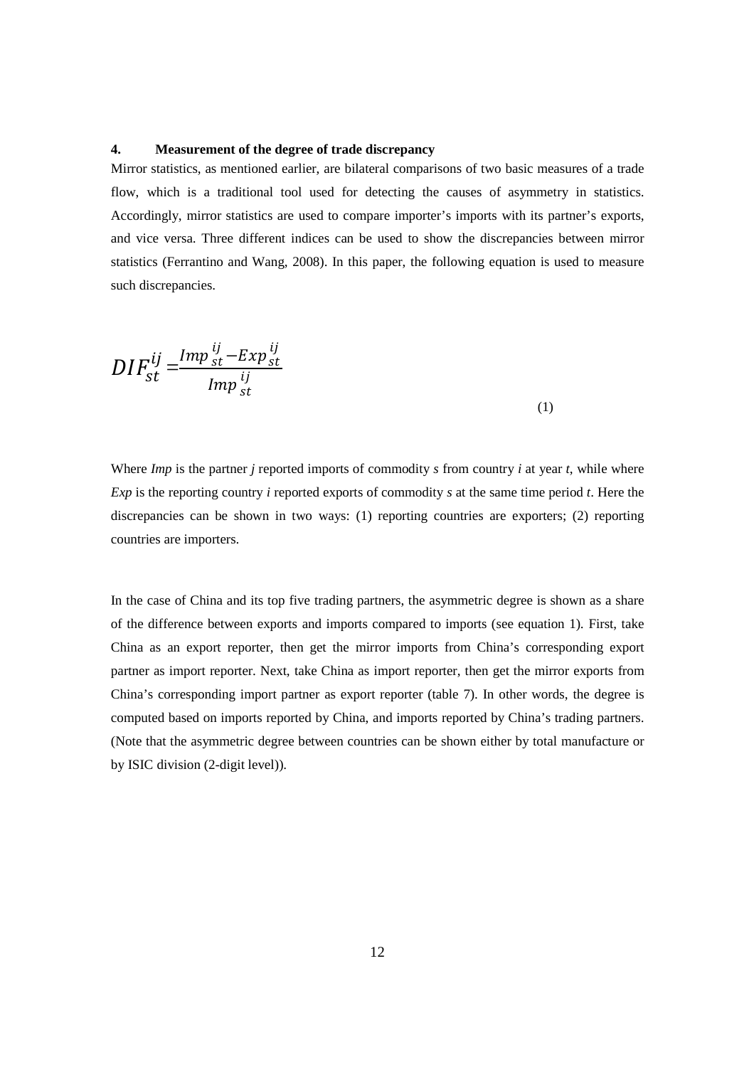# **4. Measurement of the degree of trade discrepancy**

Mirror statistics, as mentioned earlier, are bilateral comparisons of two basic measures of a trade flow, which is a traditional tool used for detecting the causes of asymmetry in statistics. Accordingly, mirror statistics are used to compare importer's imports with its partner's exports, and vice versa. Three different indices can be used to show the discrepancies between mirror statistics (Ferrantino and Wang, 2008). In this paper, the following equation is used to measure such discrepancies.

$$
DIF_{st}^{ij} = \frac{Imp_{st}^{ij} - Exp_{st}^{ij}}{Imp_{st}^{ij}}
$$
\n
$$
(1)
$$

Where *Imp* is the partner *j* reported imports of commodity *s* from country *i* at year *t*, while where *Exp* is the reporting country *i* reported exports of commodity *s* at the same time period *t*. Here the discrepancies can be shown in two ways: (1) reporting countries are exporters; (2) reporting countries are importers.

In the case of China and its top five trading partners, the asymmetric degree is shown as a share of the difference between exports and imports compared to imports (see equation 1). First, take China as an export reporter, then get the mirror imports from China's corresponding export partner as import reporter. Next, take China as import reporter, then get the mirror exports from China's corresponding import partner as export reporter (table 7). In other words, the degree is computed based on imports reported by China, and imports reported by China's trading partners. (Note that the asymmetric degree between countries can be shown either by total manufacture or by ISIC division (2-digit level)).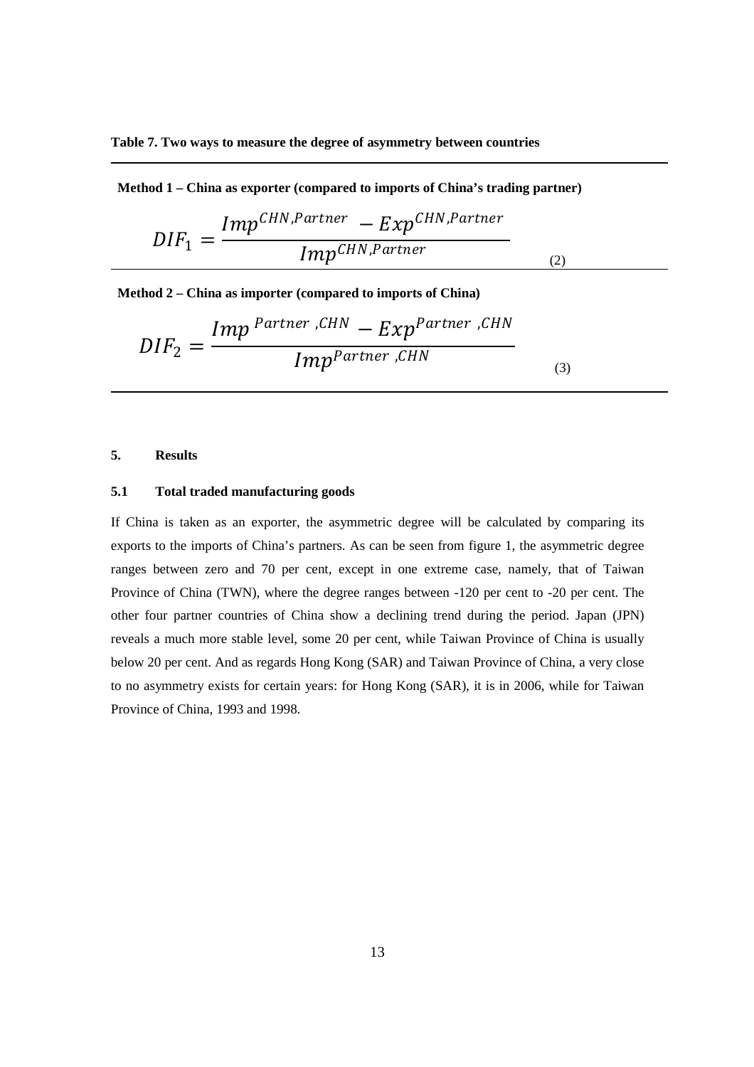**Table 7. Two ways to measure the degree of asymmetry between countries** 

**Method 1 – China as exporter (compared to imports of China's trading partner)**

$$
DIF_1 = \frac{Imp^{CHN, Partner} - Exp^{CHN, Partner}}{Imp^{CHN, Partner}}
$$
\n(2)

(3)

**Method 2 – China as importer (compared to imports of China)** 

$$
DIF_2 = \frac{Imp^{ Partner, CHN} - Exp^{Patterner, CHN}}{Imp^{Patterner, CHN}}
$$

# **5. Results**

# **5.1 Total traded manufacturing goods**

If China is taken as an exporter, the asymmetric degree will be calculated by comparing its exports to the imports of China's partners. As can be seen from figure 1, the asymmetric degree ranges between zero and 70 per cent, except in one extreme case, namely, that of Taiwan Province of China (TWN), where the degree ranges between -120 per cent to -20 per cent. The other four partner countries of China show a declining trend during the period. Japan (JPN) reveals a much more stable level, some 20 per cent, while Taiwan Province of China is usually below 20 per cent. And as regards Hong Kong (SAR) and Taiwan Province of China, a very close to no asymmetry exists for certain years: for Hong Kong (SAR), it is in 2006, while for Taiwan Province of China, 1993 and 1998.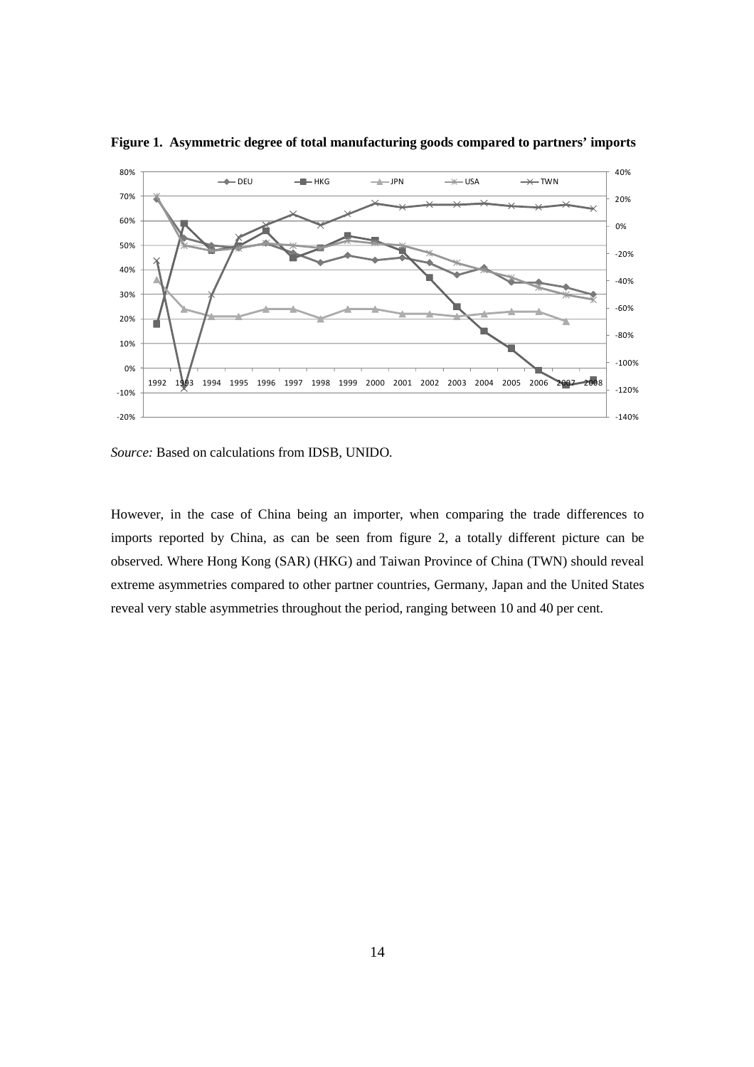

**Figure 1. Asymmetric degree of total manufacturing goods compared to partners' imports** 

*Source:* Based on calculations from IDSB, UNIDO*.*

However, in the case of China being an importer, when comparing the trade differences to imports reported by China, as can be seen from figure 2, a totally different picture can be observed. Where Hong Kong (SAR) (HKG) and Taiwan Province of China (TWN) should reveal extreme asymmetries compared to other partner countries, Germany, Japan and the United States reveal very stable asymmetries throughout the period, ranging between 10 and 40 per cent.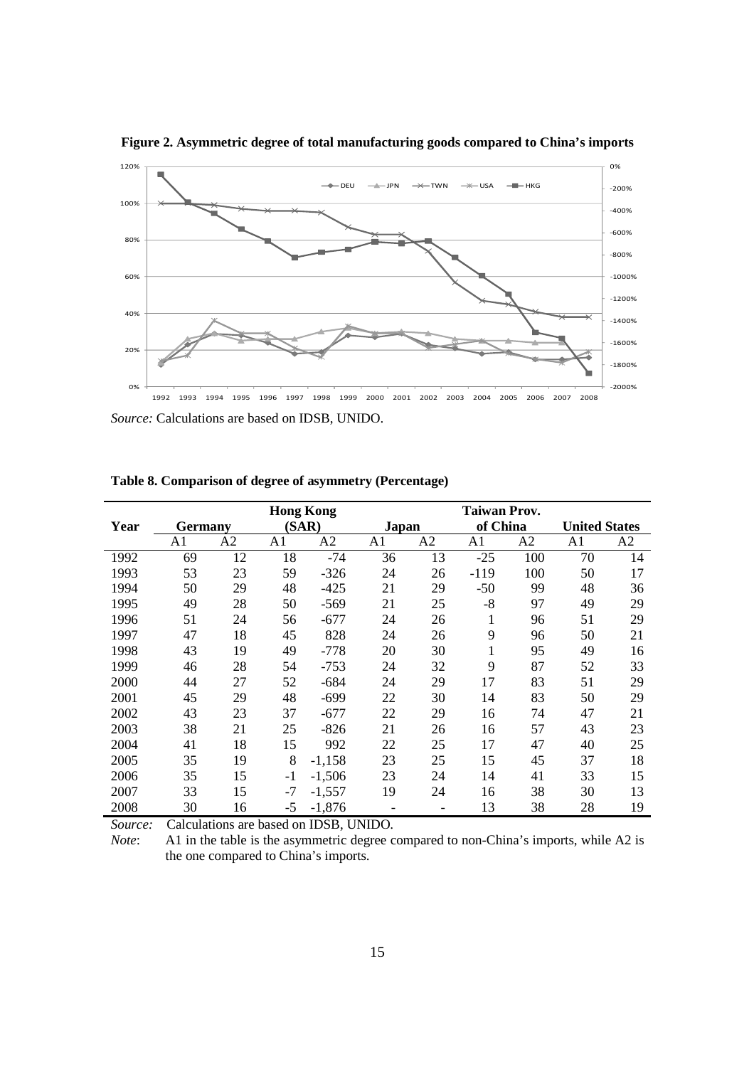

**Figure 2. Asymmetric degree of total manufacturing goods compared to China's imports** 

*Source:* Calculations are based on IDSB, UNIDO.

|      |                |                |                | <b>Hong Kong</b> |                |    | <b>Taiwan Prov.</b> |     |                      |    |
|------|----------------|----------------|----------------|------------------|----------------|----|---------------------|-----|----------------------|----|
| Year | <b>Germany</b> |                |                | (SAR)            | Japan          |    | of China            |     | <b>United States</b> |    |
|      | A1             | A <sub>2</sub> | A <sub>1</sub> | A2               | A1             | A2 | A1                  | A2  | A1                   | A2 |
| 1992 | 69             | 12             | 18             | -74              | 36             | 13 | $-25$               | 100 | 70                   | 14 |
| 1993 | 53             | 23             | 59             | $-326$           | 24             | 26 | $-119$              | 100 | 50                   | 17 |
| 1994 | 50             | 29             | 48             | $-425$           | 21             | 29 | $-50$               | 99  | 48                   | 36 |
| 1995 | 49             | 28             | 50             | $-569$           | 21             | 25 | $-8$                | 97  | 49                   | 29 |
| 1996 | 51             | 24             | 56             | $-677$           | 24             | 26 | 1                   | 96  | 51                   | 29 |
| 1997 | 47             | 18             | 45             | 828              | 24             | 26 | 9                   | 96  | 50                   | 21 |
| 1998 | 43             | 19             | 49             | $-778$           | 20             | 30 | 1                   | 95  | 49                   | 16 |
| 1999 | 46             | 28             | 54             | -753             | 24             | 32 | 9                   | 87  | 52                   | 33 |
| 2000 | 44             | 27             | 52             | $-684$           | 24             | 29 | 17                  | 83  | 51                   | 29 |
| 2001 | 45             | 29             | 48             | $-699$           | 22             | 30 | 14                  | 83  | 50                   | 29 |
| 2002 | 43             | 23             | 37             | $-677$           | 22             | 29 | 16                  | 74  | 47                   | 21 |
| 2003 | 38             | 21             | 25             | $-826$           | 21             | 26 | 16                  | 57  | 43                   | 23 |
| 2004 | 41             | 18             | 15             | 992              | 22             | 25 | 17                  | 47  | 40                   | 25 |
| 2005 | 35             | 19             | 8              | $-1,158$         | 23             | 25 | 15                  | 45  | 37                   | 18 |
| 2006 | 35             | 15             | -1             | $-1,506$         | 23             | 24 | 14                  | 41  | 33                   | 15 |
| 2007 | 33             | 15             | -7             | $-1,557$         | 19             | 24 | 16                  | 38  | 30                   | 13 |
| 2008 | 30             | 16             | -5             | $-1,876$         | $\overline{a}$ |    | 13                  | 38  | 28                   | 19 |

**Table 8. Comparison of degree of asymmetry (Percentage)** 

*Note*: A1 in the table is the asymmetric degree compared to non-China's imports, while A2 is the one compared to China's imports.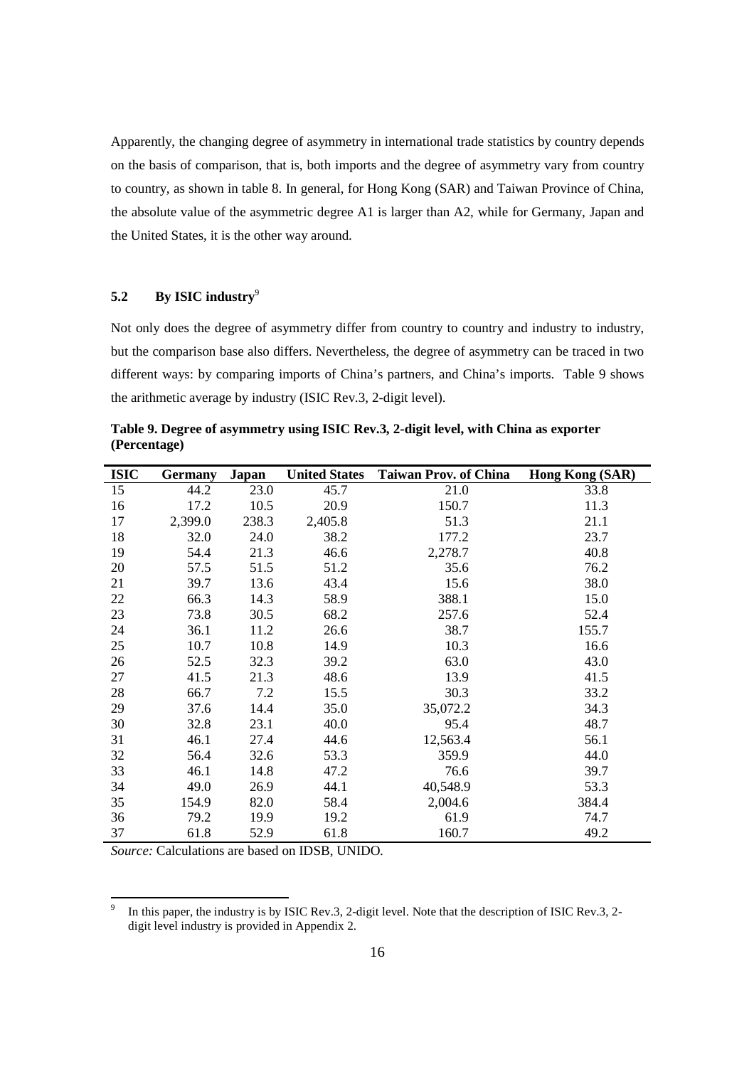Apparently, the changing degree of asymmetry in international trade statistics by country depends on the basis of comparison, that is, both imports and the degree of asymmetry vary from country to country, as shown in table 8. In general, for Hong Kong (SAR) and Taiwan Province of China, the absolute value of the asymmetric degree A1 is larger than A2, while for Germany, Japan and the United States, it is the other way around.

# **5.2 By ISIC industry**<sup>9</sup>

Not only does the degree of asymmetry differ from country to country and industry to industry, but the comparison base also differs. Nevertheless, the degree of asymmetry can be traced in two different ways: by comparing imports of China's partners, and China's imports. Table 9 shows the arithmetic average by industry (ISIC Rev.3, 2-digit level).

**Table 9. Degree of asymmetry using ISIC Rev.3, 2-digit level, with China as exporter (Percentage)** 

| <b>ISIC</b> | <b>Germany</b> | Japan | <b>United States</b> | <b>Taiwan Prov. of China</b> | Hong Kong (SAR) |
|-------------|----------------|-------|----------------------|------------------------------|-----------------|
| 15          | 44.2           | 23.0  | 45.7                 | 21.0                         | 33.8            |
| 16          | 17.2           | 10.5  | 20.9                 | 150.7                        | 11.3            |
| 17          | 2,399.0        | 238.3 | 2,405.8              | 51.3                         | 21.1            |
| 18          | 32.0           | 24.0  | 38.2                 | 177.2                        | 23.7            |
| 19          | 54.4           | 21.3  | 46.6                 | 2,278.7                      | 40.8            |
| 20          | 57.5           | 51.5  | 51.2                 | 35.6                         | 76.2            |
| 21          | 39.7           | 13.6  | 43.4                 | 15.6                         | 38.0            |
| 22          | 66.3           | 14.3  | 58.9                 | 388.1                        | 15.0            |
| 23          | 73.8           | 30.5  | 68.2                 | 257.6                        | 52.4            |
| 24          | 36.1           | 11.2  | 26.6                 | 38.7                         | 155.7           |
| 25          | 10.7           | 10.8  | 14.9                 | 10.3                         | 16.6            |
| 26          | 52.5           | 32.3  | 39.2                 | 63.0                         | 43.0            |
| 27          | 41.5           | 21.3  | 48.6                 | 13.9                         | 41.5            |
| 28          | 66.7           | 7.2   | 15.5                 | 30.3                         | 33.2            |
| 29          | 37.6           | 14.4  | 35.0                 | 35,072.2                     | 34.3            |
| 30          | 32.8           | 23.1  | 40.0                 | 95.4                         | 48.7            |
| 31          | 46.1           | 27.4  | 44.6                 | 12,563.4                     | 56.1            |
| 32          | 56.4           | 32.6  | 53.3                 | 359.9                        | 44.0            |
| 33          | 46.1           | 14.8  | 47.2                 | 76.6                         | 39.7            |
| 34          | 49.0           | 26.9  | 44.1                 | 40,548.9                     | 53.3            |
| 35          | 154.9          | 82.0  | 58.4                 | 2,004.6                      | 384.4           |
| 36          | 79.2           | 19.9  | 19.2                 | 61.9                         | 74.7            |
| 37          | 61.8           | 52.9  | 61.8                 | 160.7                        | 49.2            |

 $\overline{a}$ 9 In this paper, the industry is by ISIC Rev.3, 2-digit level. Note that the description of ISIC Rev.3, 2 digit level industry is provided in Appendix 2.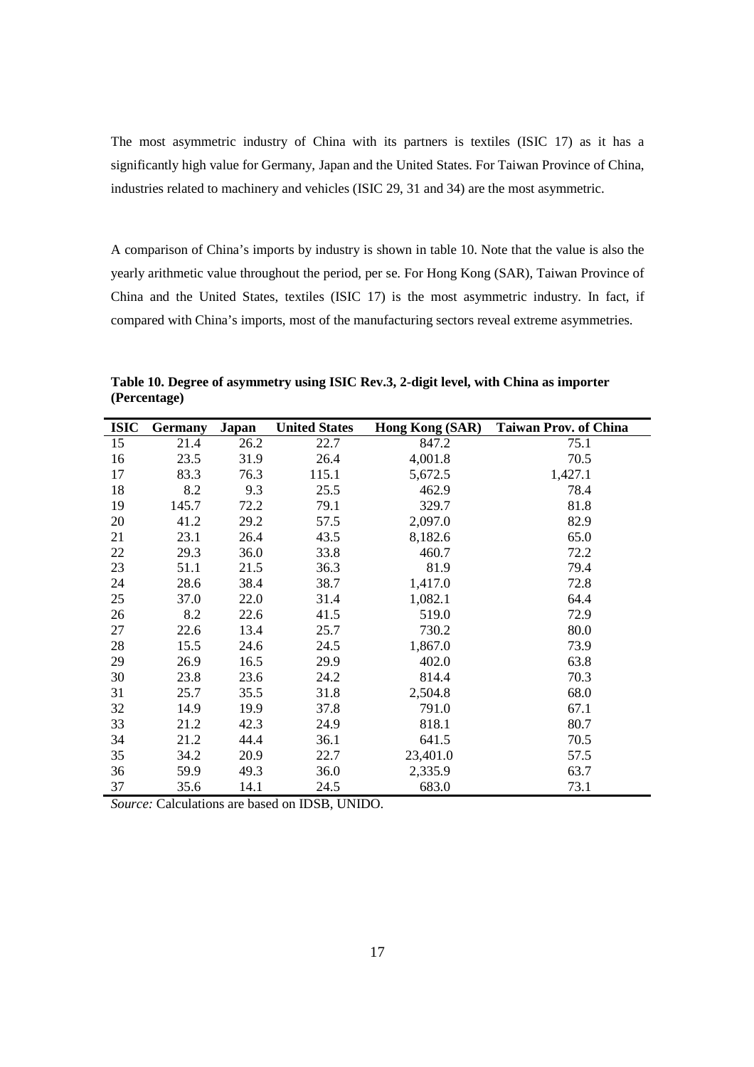The most asymmetric industry of China with its partners is textiles (ISIC 17) as it has a significantly high value for Germany, Japan and the United States. For Taiwan Province of China, industries related to machinery and vehicles (ISIC 29, 31 and 34) are the most asymmetric.

A comparison of China's imports by industry is shown in table 10. Note that the value is also the yearly arithmetic value throughout the period, per se. For Hong Kong (SAR), Taiwan Province of China and the United States, textiles (ISIC 17) is the most asymmetric industry. In fact, if compared with China's imports, most of the manufacturing sectors reveal extreme asymmetries.

| <b>ISIC</b> | <b>Germany</b> | Japan | <b>United States</b> | Hong Kong (SAR) | <b>Taiwan Prov. of China</b> |
|-------------|----------------|-------|----------------------|-----------------|------------------------------|
| 15          | 21.4           | 26.2  | 22.7                 | 847.2           | 75.1                         |
| 16          | 23.5           | 31.9  | 26.4                 | 4,001.8         | 70.5                         |
| 17          | 83.3           | 76.3  | 115.1                | 5,672.5         | 1,427.1                      |
| 18          | 8.2            | 9.3   | 25.5                 | 462.9           | 78.4                         |
| 19          | 145.7          | 72.2  | 79.1                 | 329.7           | 81.8                         |
| 20          | 41.2           | 29.2  | 57.5                 | 2,097.0         | 82.9                         |
| 21          | 23.1           | 26.4  | 43.5                 | 8,182.6         | 65.0                         |
| 22          | 29.3           | 36.0  | 33.8                 | 460.7           | 72.2                         |
| 23          | 51.1           | 21.5  | 36.3                 | 81.9            | 79.4                         |
| 24          | 28.6           | 38.4  | 38.7                 | 1,417.0         | 72.8                         |
| 25          | 37.0           | 22.0  | 31.4                 | 1,082.1         | 64.4                         |
| 26          | 8.2            | 22.6  | 41.5                 | 519.0           | 72.9                         |
| 27          | 22.6           | 13.4  | 25.7                 | 730.2           | 80.0                         |
| 28          | 15.5           | 24.6  | 24.5                 | 1,867.0         | 73.9                         |
| 29          | 26.9           | 16.5  | 29.9                 | 402.0           | 63.8                         |
| 30          | 23.8           | 23.6  | 24.2                 | 814.4           | 70.3                         |
| 31          | 25.7           | 35.5  | 31.8                 | 2,504.8         | 68.0                         |
| 32          | 14.9           | 19.9  | 37.8                 | 791.0           | 67.1                         |
| 33          | 21.2           | 42.3  | 24.9                 | 818.1           | 80.7                         |
| 34          | 21.2           | 44.4  | 36.1                 | 641.5           | 70.5                         |
| 35          | 34.2           | 20.9  | 22.7                 | 23,401.0        | 57.5                         |
| 36          | 59.9           | 49.3  | 36.0                 | 2,335.9         | 63.7                         |
| 37          | 35.6           | 14.1  | 24.5                 | 683.0           | 73.1                         |

**Table 10. Degree of asymmetry using ISIC Rev.3, 2-digit level, with China as importer (Percentage)**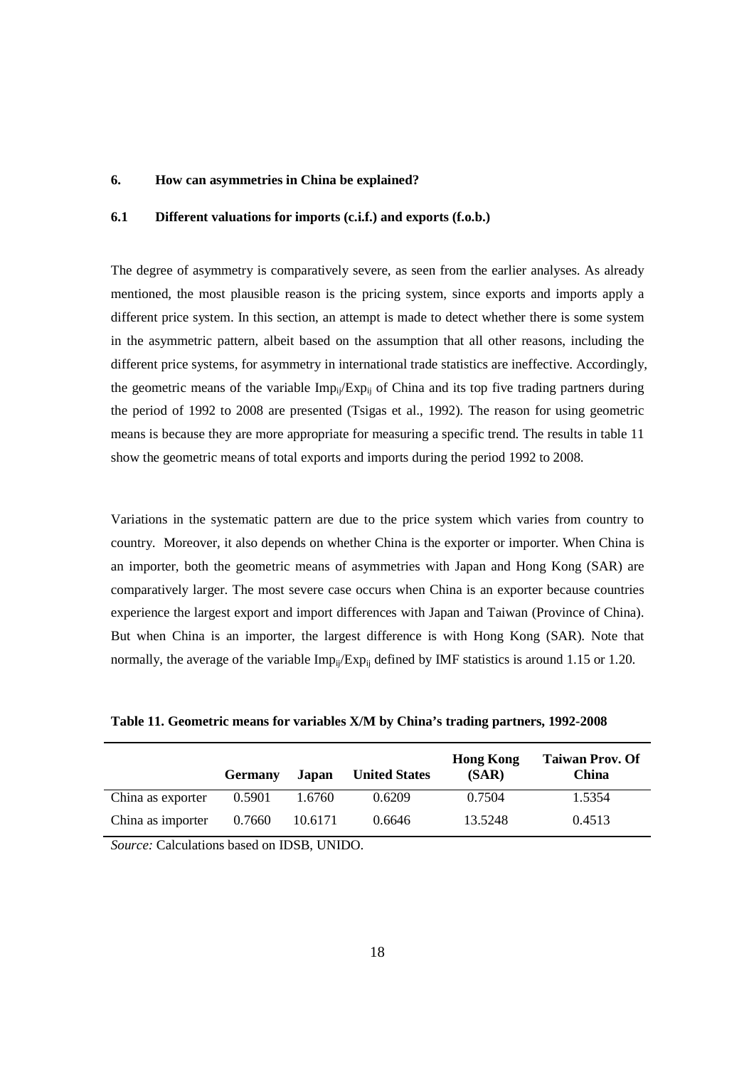## **6. How can asymmetries in China be explained?**

# **6.1 Different valuations for imports (c.i.f.) and exports (f.o.b.)**

The degree of asymmetry is comparatively severe, as seen from the earlier analyses. As already mentioned, the most plausible reason is the pricing system, since exports and imports apply a different price system. In this section, an attempt is made to detect whether there is some system in the asymmetric pattern, albeit based on the assumption that all other reasons, including the different price systems, for asymmetry in international trade statistics are ineffective. Accordingly, the geometric means of the variable  $Imp_{ij}/Exp_{ij}$  of China and its top five trading partners during the period of 1992 to 2008 are presented (Tsigas et al., 1992). The reason for using geometric means is because they are more appropriate for measuring a specific trend. The results in table 11 show the geometric means of total exports and imports during the period 1992 to 2008.

Variations in the systematic pattern are due to the price system which varies from country to country. Moreover, it also depends on whether China is the exporter or importer. When China is an importer, both the geometric means of asymmetries with Japan and Hong Kong (SAR) are comparatively larger. The most severe case occurs when China is an exporter because countries experience the largest export and import differences with Japan and Taiwan (Province of China). But when China is an importer, the largest difference is with Hong Kong (SAR). Note that normally, the average of the variable  $Imp_{ii}/Exp_{ii}$  defined by IMF statistics is around 1.15 or 1.20.

|                   | <b>Germany</b> | Japan   | <b>United States</b> | <b>Hong Kong</b><br>(SAR) | <b>Taiwan Prov. Of</b><br>China |
|-------------------|----------------|---------|----------------------|---------------------------|---------------------------------|
| China as exporter | 0.5901         | 1.6760  | 0.6209               | 0.7504                    | 1.5354                          |
| China as importer | 0.7660         | 10.6171 | 0.6646               | 13.5248                   | 0.4513                          |

**Table 11. Geometric means for variables X/M by China's trading partners, 1992-2008**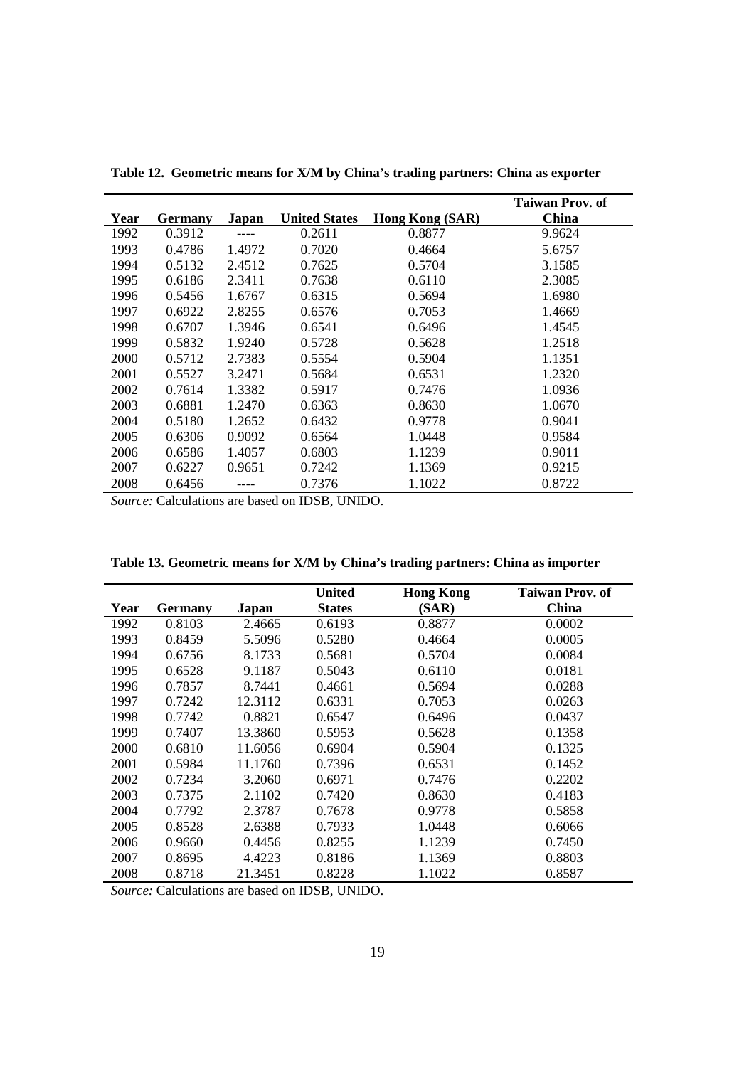|      |                |        |                      |                 | Taiwan Prov. of |
|------|----------------|--------|----------------------|-----------------|-----------------|
| Year | <b>Germany</b> | Japan  | <b>United States</b> | Hong Kong (SAR) | China           |
| 1992 | 0.3912         |        | 0.2611               | 0.8877          | 9.9624          |
| 1993 | 0.4786         | 1.4972 | 0.7020               | 0.4664          | 5.6757          |
| 1994 | 0.5132         | 2.4512 | 0.7625               | 0.5704          | 3.1585          |
| 1995 | 0.6186         | 2.3411 | 0.7638               | 0.6110          | 2.3085          |
| 1996 | 0.5456         | 1.6767 | 0.6315               | 0.5694          | 1.6980          |
| 1997 | 0.6922         | 2.8255 | 0.6576               | 0.7053          | 1.4669          |
| 1998 | 0.6707         | 1.3946 | 0.6541               | 0.6496          | 1.4545          |
| 1999 | 0.5832         | 1.9240 | 0.5728               | 0.5628          | 1.2518          |
| 2000 | 0.5712         | 2.7383 | 0.5554               | 0.5904          | 1.1351          |
| 2001 | 0.5527         | 3.2471 | 0.5684               | 0.6531          | 1.2320          |
| 2002 | 0.7614         | 1.3382 | 0.5917               | 0.7476          | 1.0936          |
| 2003 | 0.6881         | 1.2470 | 0.6363               | 0.8630          | 1.0670          |
| 2004 | 0.5180         | 1.2652 | 0.6432               | 0.9778          | 0.9041          |
| 2005 | 0.6306         | 0.9092 | 0.6564               | 1.0448          | 0.9584          |
| 2006 | 0.6586         | 1.4057 | 0.6803               | 1.1239          | 0.9011          |
| 2007 | 0.6227         | 0.9651 | 0.7242               | 1.1369          | 0.9215          |
| 2008 | 0.6456         |        | 0.7376               | 1.1022          | 0.8722          |

**Table 12. Geometric means for X/M by China's trading partners: China as exporter** 

*Source:* Calculations are based on IDSB, UNIDO.

|      |         |         | United        | <b>Hong Kong</b> | <b>Taiwan Prov. of</b> |
|------|---------|---------|---------------|------------------|------------------------|
| Year | Germany | Japan   | <b>States</b> | (SAR)            | China                  |
| 1992 | 0.8103  | 2.4665  | 0.6193        | 0.8877           | 0.0002                 |
| 1993 | 0.8459  | 5.5096  | 0.5280        | 0.4664           | 0.0005                 |
| 1994 | 0.6756  | 8.1733  | 0.5681        | 0.5704           | 0.0084                 |
| 1995 | 0.6528  | 9.1187  | 0.5043        | 0.6110           | 0.0181                 |
| 1996 | 0.7857  | 8.7441  | 0.4661        | 0.5694           | 0.0288                 |
| 1997 | 0.7242  | 12.3112 | 0.6331        | 0.7053           | 0.0263                 |
| 1998 | 0.7742  | 0.8821  | 0.6547        | 0.6496           | 0.0437                 |
| 1999 | 0.7407  | 13.3860 | 0.5953        | 0.5628           | 0.1358                 |
| 2000 | 0.6810  | 11.6056 | 0.6904        | 0.5904           | 0.1325                 |
| 2001 | 0.5984  | 11.1760 | 0.7396        | 0.6531           | 0.1452                 |
| 2002 | 0.7234  | 3.2060  | 0.6971        | 0.7476           | 0.2202                 |
| 2003 | 0.7375  | 2.1102  | 0.7420        | 0.8630           | 0.4183                 |
| 2004 | 0.7792  | 2.3787  | 0.7678        | 0.9778           | 0.5858                 |
| 2005 | 0.8528  | 2.6388  | 0.7933        | 1.0448           | 0.6066                 |
| 2006 | 0.9660  | 0.4456  | 0.8255        | 1.1239           | 0.7450                 |
| 2007 | 0.8695  | 4.4223  | 0.8186        | 1.1369           | 0.8803                 |
| 2008 | 0.8718  | 21.3451 | 0.8228        | 1.1022           | 0.8587                 |

**Table 13. Geometric means for X/M by China's trading partners: China as importer**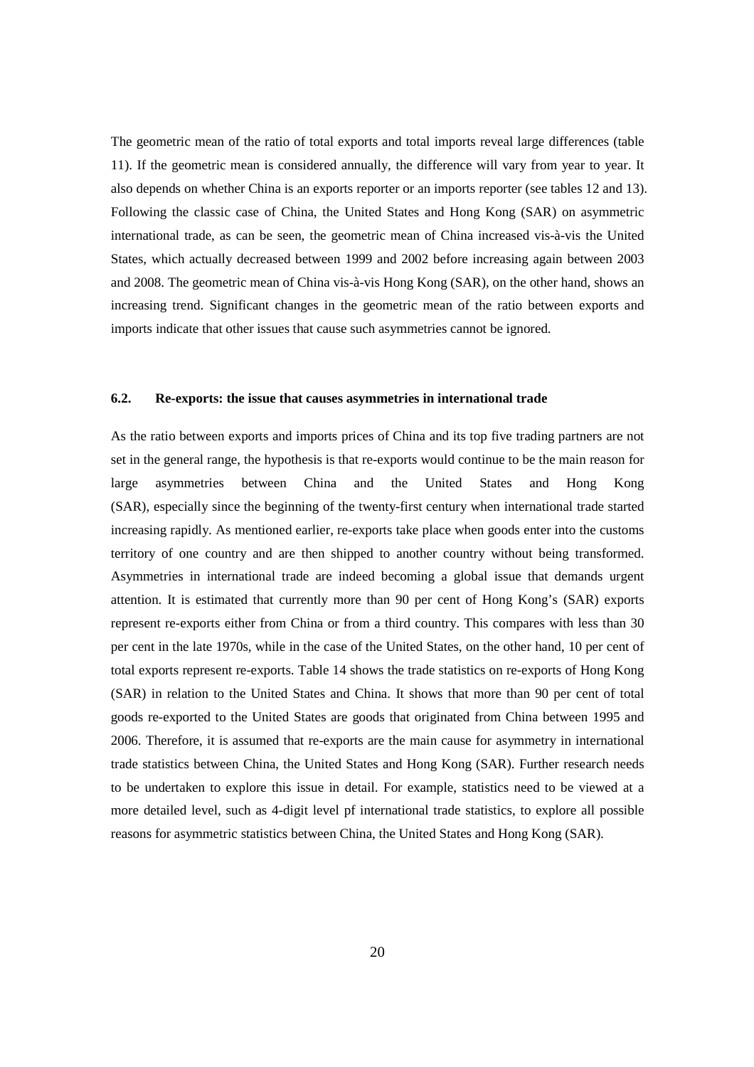The geometric mean of the ratio of total exports and total imports reveal large differences (table 11). If the geometric mean is considered annually, the difference will vary from year to year. It also depends on whether China is an exports reporter or an imports reporter (see tables 12 and 13). Following the classic case of China, the United States and Hong Kong (SAR) on asymmetric international trade, as can be seen, the geometric mean of China increased vis-à-vis the United States, which actually decreased between 1999 and 2002 before increasing again between 2003 and 2008. The geometric mean of China vis-à-vis Hong Kong (SAR), on the other hand, shows an increasing trend. Significant changes in the geometric mean of the ratio between exports and imports indicate that other issues that cause such asymmetries cannot be ignored.

### **6.2. Re-exports: the issue that causes asymmetries in international trade**

As the ratio between exports and imports prices of China and its top five trading partners are not set in the general range, the hypothesis is that re-exports would continue to be the main reason for large asymmetries between China and the United States and Hong Kong (SAR), especially since the beginning of the twenty-first century when international trade started increasing rapidly. As mentioned earlier, re-exports take place when goods enter into the customs territory of one country and are then shipped to another country without being transformed. Asymmetries in international trade are indeed becoming a global issue that demands urgent attention. It is estimated that currently more than 90 per cent of Hong Kong's (SAR) exports represent re-exports either from China or from a third country. This compares with less than 30 per cent in the late 1970s, while in the case of the United States, on the other hand, 10 per cent of total exports represent re-exports. Table 14 shows the trade statistics on re-exports of Hong Kong (SAR) in relation to the United States and China. It shows that more than 90 per cent of total goods re-exported to the United States are goods that originated from China between 1995 and 2006. Therefore, it is assumed that re-exports are the main cause for asymmetry in international trade statistics between China, the United States and Hong Kong (SAR). Further research needs to be undertaken to explore this issue in detail. For example, statistics need to be viewed at a more detailed level, such as 4-digit level pf international trade statistics, to explore all possible reasons for asymmetric statistics between China, the United States and Hong Kong (SAR).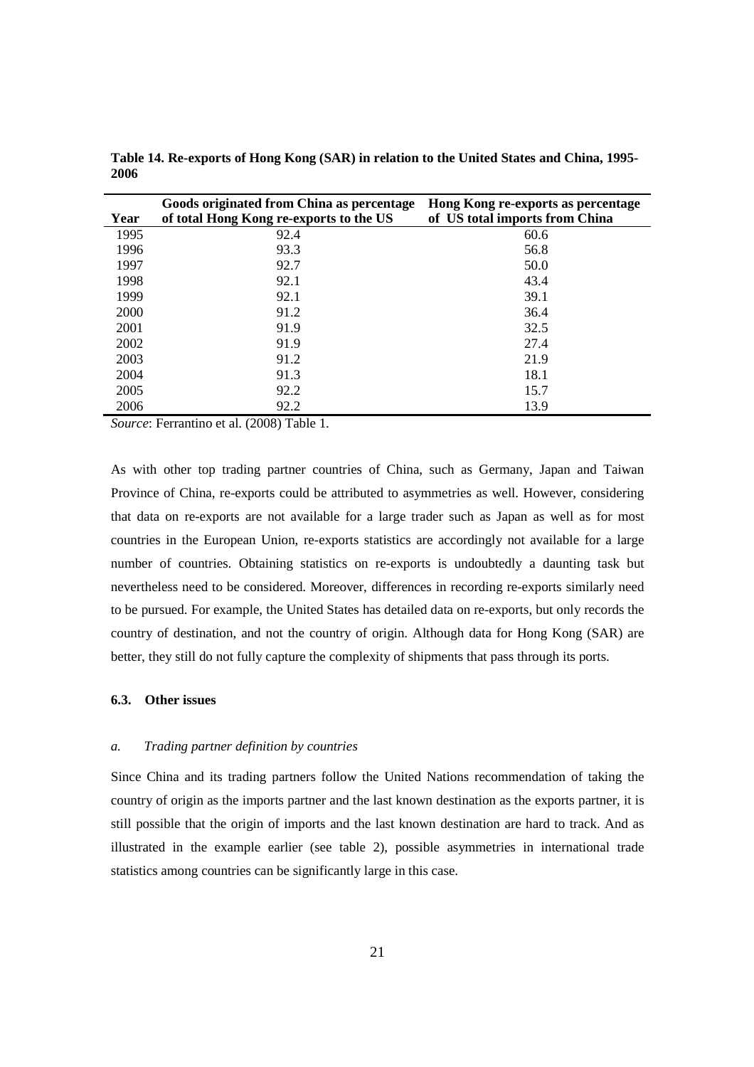|      | Goods originated from China as percentage | Hong Kong re-exports as percentage |
|------|-------------------------------------------|------------------------------------|
| Year | of total Hong Kong re-exports to the US   | of US total imports from China     |
| 1995 | 92.4                                      | 60.6                               |
| 1996 | 93.3                                      | 56.8                               |
| 1997 | 92.7                                      | 50.0                               |
| 1998 | 92.1                                      | 43.4                               |
| 1999 | 92.1                                      | 39.1                               |
| 2000 | 91.2                                      | 36.4                               |
| 2001 | 91.9                                      | 32.5                               |
| 2002 | 91.9                                      | 27.4                               |
| 2003 | 91.2                                      | 21.9                               |
| 2004 | 91.3                                      | 18.1                               |
| 2005 | 92.2                                      | 15.7                               |
| 2006 | 92.2                                      | 13.9                               |

**Table 14. Re-exports of Hong Kong (SAR) in relation to the United States and China, 1995- 2006** 

*Source*: Ferrantino et al. (2008) Table 1.

As with other top trading partner countries of China, such as Germany, Japan and Taiwan Province of China, re-exports could be attributed to asymmetries as well. However, considering that data on re-exports are not available for a large trader such as Japan as well as for most countries in the European Union, re-exports statistics are accordingly not available for a large number of countries. Obtaining statistics on re-exports is undoubtedly a daunting task but nevertheless need to be considered. Moreover, differences in recording re-exports similarly need to be pursued. For example, the United States has detailed data on re-exports, but only records the country of destination, and not the country of origin. Although data for Hong Kong (SAR) are better, they still do not fully capture the complexity of shipments that pass through its ports.

# **6.3. Other issues**

### *a. Trading partner definition by countries*

Since China and its trading partners follow the United Nations recommendation of taking the country of origin as the imports partner and the last known destination as the exports partner, it is still possible that the origin of imports and the last known destination are hard to track. And as illustrated in the example earlier (see table 2), possible asymmetries in international trade statistics among countries can be significantly large in this case.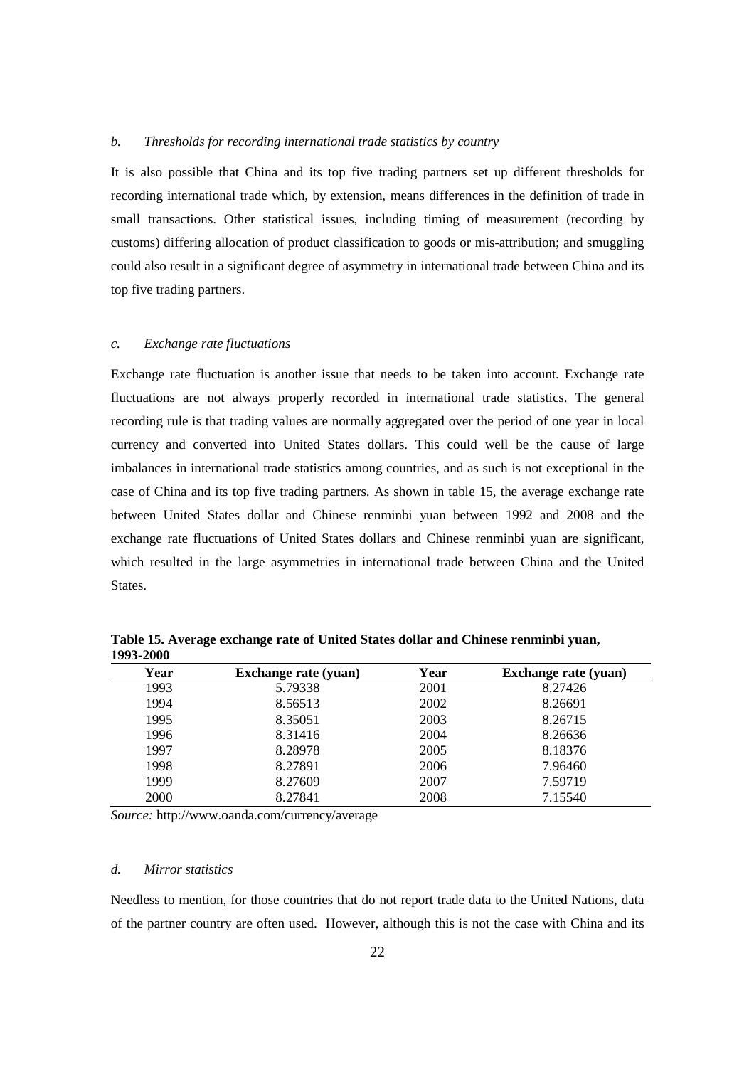#### *b. Thresholds for recording international trade statistics by country*

It is also possible that China and its top five trading partners set up different thresholds for recording international trade which, by extension, means differences in the definition of trade in small transactions. Other statistical issues, including timing of measurement (recording by customs) differing allocation of product classification to goods or mis-attribution; and smuggling could also result in a significant degree of asymmetry in international trade between China and its top five trading partners.

#### *c. Exchange rate fluctuations*

Exchange rate fluctuation is another issue that needs to be taken into account. Exchange rate fluctuations are not always properly recorded in international trade statistics. The general recording rule is that trading values are normally aggregated over the period of one year in local currency and converted into United States dollars. This could well be the cause of large imbalances in international trade statistics among countries, and as such is not exceptional in the case of China and its top five trading partners. As shown in table 15, the average exchange rate between United States dollar and Chinese renminbi yuan between 1992 and 2008 and the exchange rate fluctuations of United States dollars and Chinese renminbi yuan are significant, which resulted in the large asymmetries in international trade between China and the United States.

| Year | <b>Exchange rate (yuan)</b> | Year | <b>Exchange rate (yuan)</b> |
|------|-----------------------------|------|-----------------------------|
| 1993 | 5.79338                     | 2001 | 8.27426                     |
| 1994 | 8.56513                     | 2002 | 8.26691                     |
| 1995 | 8.35051                     | 2003 | 8.26715                     |
| 1996 | 8.31416                     | 2004 | 8.26636                     |
| 1997 | 8.28978                     | 2005 | 8.18376                     |
| 1998 | 8.27891                     | 2006 | 7.96460                     |
| 1999 | 8.27609                     | 2007 | 7.59719                     |
| 2000 | 8.27841                     | 2008 | 7.15540                     |

**Table 15. Average exchange rate of United States dollar and Chinese renminbi yuan, 1993-2000** 

*Source:* http://www.oanda.com/currency/average

## *d. Mirror statistics*

Needless to mention, for those countries that do not report trade data to the United Nations, data of the partner country are often used. However, although this is not the case with China and its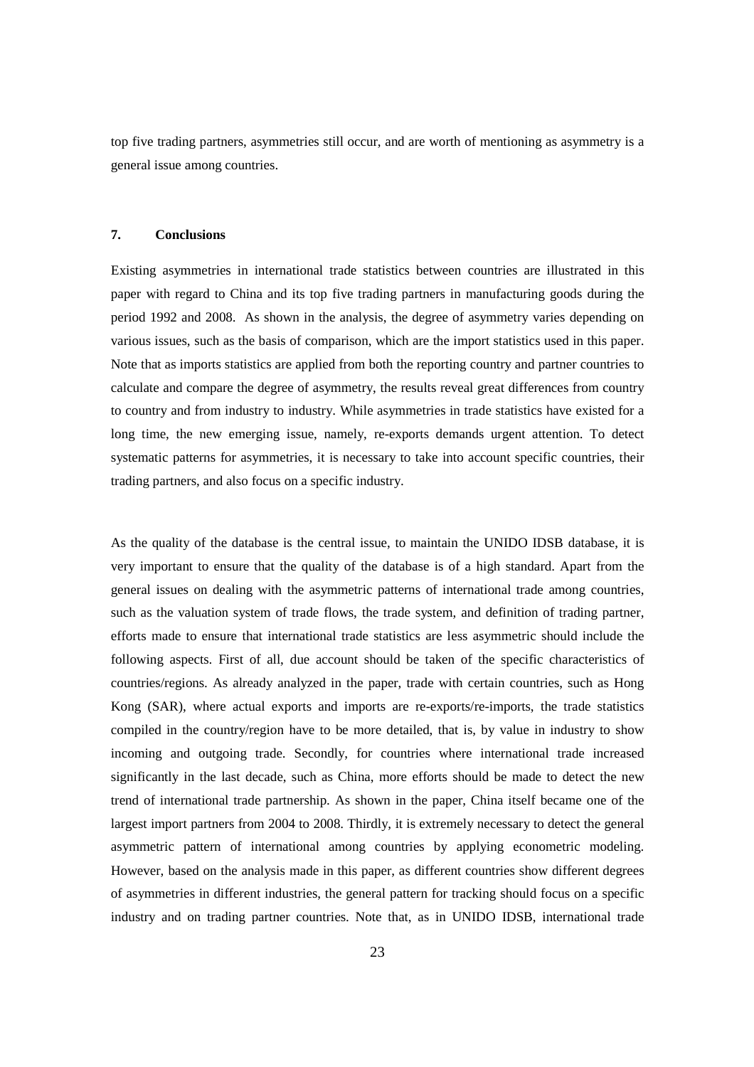top five trading partners, asymmetries still occur, and are worth of mentioning as asymmetry is a general issue among countries.

# **7. Conclusions**

Existing asymmetries in international trade statistics between countries are illustrated in this paper with regard to China and its top five trading partners in manufacturing goods during the period 1992 and 2008. As shown in the analysis, the degree of asymmetry varies depending on various issues, such as the basis of comparison, which are the import statistics used in this paper. Note that as imports statistics are applied from both the reporting country and partner countries to calculate and compare the degree of asymmetry, the results reveal great differences from country to country and from industry to industry. While asymmetries in trade statistics have existed for a long time, the new emerging issue, namely, re-exports demands urgent attention. To detect systematic patterns for asymmetries, it is necessary to take into account specific countries, their trading partners, and also focus on a specific industry.

As the quality of the database is the central issue, to maintain the UNIDO IDSB database, it is very important to ensure that the quality of the database is of a high standard. Apart from the general issues on dealing with the asymmetric patterns of international trade among countries, such as the valuation system of trade flows, the trade system, and definition of trading partner, efforts made to ensure that international trade statistics are less asymmetric should include the following aspects. First of all, due account should be taken of the specific characteristics of countries/regions. As already analyzed in the paper, trade with certain countries, such as Hong Kong (SAR), where actual exports and imports are re-exports/re-imports, the trade statistics compiled in the country/region have to be more detailed, that is, by value in industry to show incoming and outgoing trade. Secondly, for countries where international trade increased significantly in the last decade, such as China, more efforts should be made to detect the new trend of international trade partnership. As shown in the paper, China itself became one of the largest import partners from 2004 to 2008. Thirdly, it is extremely necessary to detect the general asymmetric pattern of international among countries by applying econometric modeling. However, based on the analysis made in this paper, as different countries show different degrees of asymmetries in different industries, the general pattern for tracking should focus on a specific industry and on trading partner countries. Note that, as in UNIDO IDSB, international trade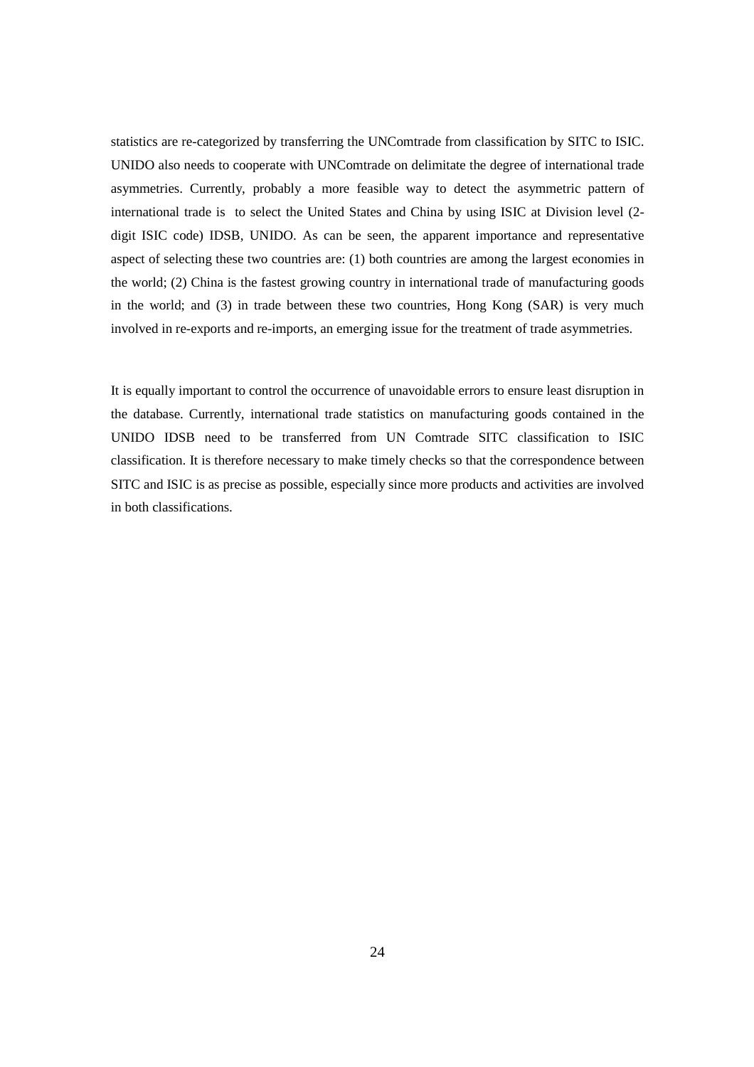statistics are re-categorized by transferring the UNComtrade from classification by SITC to ISIC. UNIDO also needs to cooperate with UNComtrade on delimitate the degree of international trade asymmetries. Currently, probably a more feasible way to detect the asymmetric pattern of international trade is to select the United States and China by using ISIC at Division level (2 digit ISIC code) IDSB, UNIDO. As can be seen, the apparent importance and representative aspect of selecting these two countries are: (1) both countries are among the largest economies in the world; (2) China is the fastest growing country in international trade of manufacturing goods in the world; and (3) in trade between these two countries, Hong Kong (SAR) is very much involved in re-exports and re-imports, an emerging issue for the treatment of trade asymmetries.

It is equally important to control the occurrence of unavoidable errors to ensure least disruption in the database. Currently, international trade statistics on manufacturing goods contained in the UNIDO IDSB need to be transferred from UN Comtrade SITC classification to ISIC classification. It is therefore necessary to make timely checks so that the correspondence between SITC and ISIC is as precise as possible, especially since more products and activities are involved in both classifications.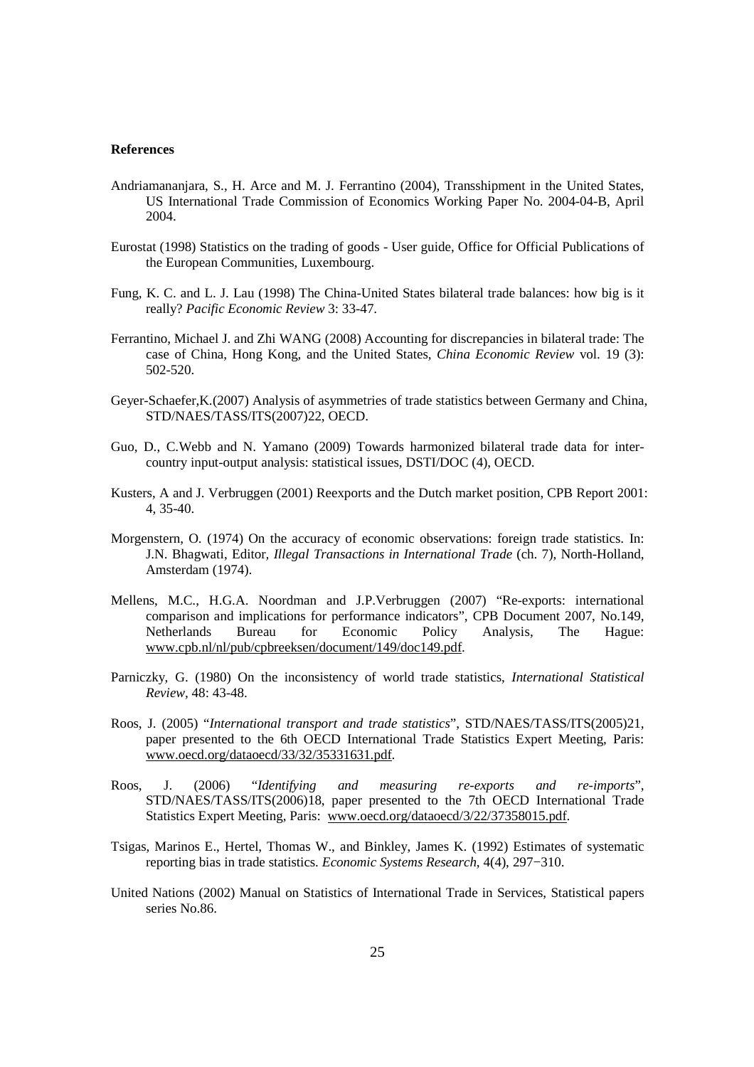#### **References**

- Andriamananjara, S., H. Arce and M. J. Ferrantino (2004), Transshipment in the United States, US International Trade Commission of Economics Working Paper No. 2004-04-B, April 2004.
- Eurostat (1998) Statistics on the trading of goods User guide, Office for Official Publications of the European Communities, Luxembourg.
- Fung, K. C. and L. J. Lau (1998) The China-United States bilateral trade balances: how big is it really? *Pacific Economic Review* 3: 33-47.
- Ferrantino, Michael J. and Zhi WANG (2008) Accounting for discrepancies in bilateral trade: The case of China, Hong Kong, and the United States, *China Economic Review* vol. 19 (3): 502-520.
- Geyer-Schaefer,K.(2007) Analysis of asymmetries of trade statistics between Germany and China, STD/NAES/TASS/ITS(2007)22, OECD.
- Guo, D., C.Webb and N. Yamano (2009) Towards harmonized bilateral trade data for intercountry input-output analysis: statistical issues, DSTI/DOC (4), OECD.
- Kusters, A and J. Verbruggen (2001) Reexports and the Dutch market position, CPB Report 2001: 4, 35-40.
- Morgenstern, O. (1974) On the accuracy of economic observations: foreign trade statistics. In: J.N. Bhagwati, Editor*, Illegal Transactions in International Trade* (ch. 7), North-Holland, Amsterdam (1974).
- Mellens, M.C., H.G.A. Noordman and J.P.Verbruggen (2007) "Re-exports: international comparison and implications for performance indicators", CPB Document 2007, No.149,<br>Netherlands Bureau for Economic Policy Analysis, The Hague: Netherlands Bureau for Economic Policy Analysis, The Hague: www.cpb.nl/nl/pub/cpbreeksen/document/149/doc149.pdf.
- Parniczky, G. (1980) On the inconsistency of world trade statistics, *International Statistical Review,* 48: 43-48.
- Roos, J. (2005) "*International transport and trade statistics*", STD/NAES/TASS/ITS(2005)21, paper presented to the 6th OECD International Trade Statistics Expert Meeting, Paris: www.oecd.org/dataoecd/33/32/35331631.pdf.
- Roos, J. (2006) "*Identifying and measuring re-exports and re-imports*", STD/NAES/TASS/ITS(2006)18, paper presented to the 7th OECD International Trade Statistics Expert Meeting, Paris: www.oecd.org/dataoecd/3/22/37358015.pdf.
- Tsigas, Marinos E., Hertel, Thomas W., and Binkley, James K. (1992) Estimates of systematic reporting bias in trade statistics. *Economic Systems Research*, 4(4), 297−310.
- United Nations (2002) Manual on Statistics of International Trade in Services, Statistical papers series No.86.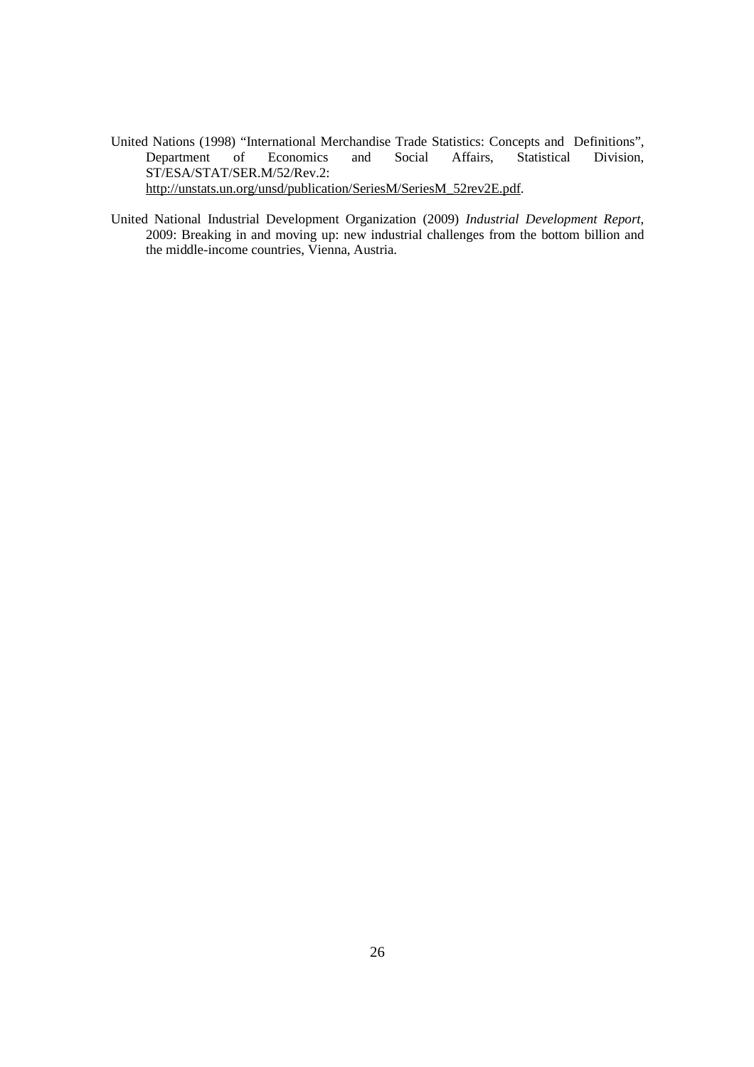- United Nations (1998) "International Merchandise Trade Statistics: Concepts and Definitions", Department of Economics and Social Affairs, Statistical Division, ST/ESA/STAT/SER.M/52/Rev.2: http://unstats.un.org/unsd/publication/SeriesM/SeriesM\_52rev2E.pdf.
- United National Industrial Development Organization (2009) *Industrial Development Report*, 2009: Breaking in and moving up: new industrial challenges from the bottom billion and the middle-income countries, Vienna, Austria.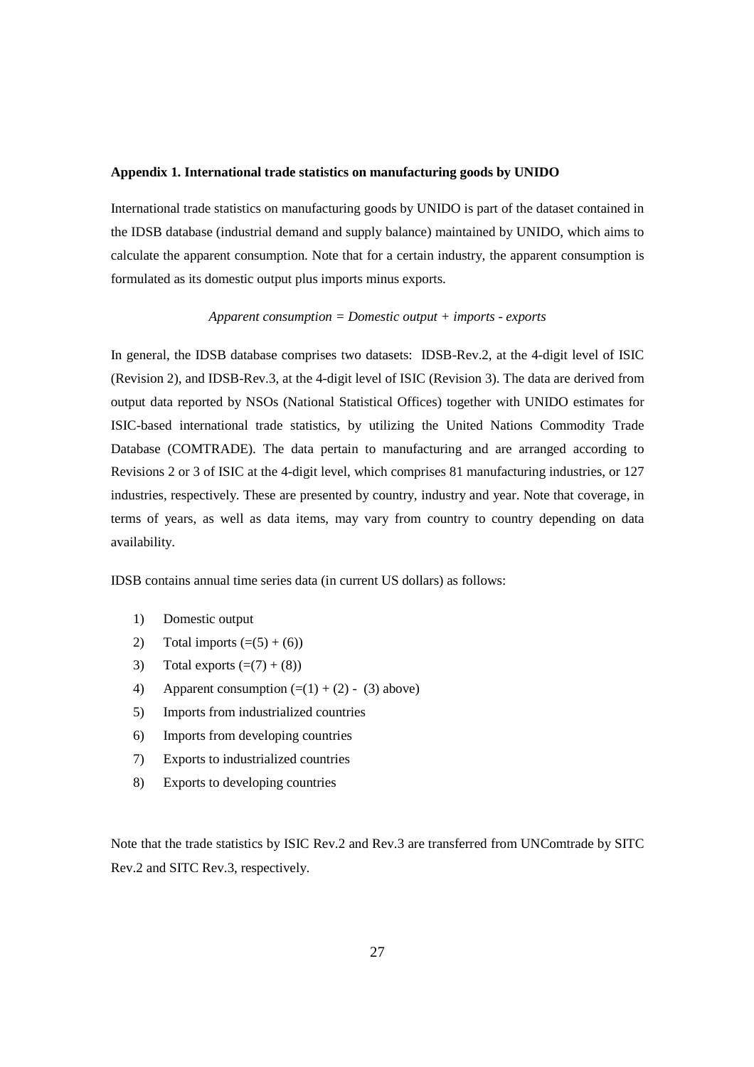### **Appendix 1. International trade statistics on manufacturing goods by UNIDO**

International trade statistics on manufacturing goods by UNIDO is part of the dataset contained in the IDSB database (industrial demand and supply balance) maintained by UNIDO, which aims to calculate the apparent consumption. Note that for a certain industry, the apparent consumption is formulated as its domestic output plus imports minus exports.

## *Apparent consumption = Domestic output + imports - exports*

In general, the IDSB database comprises two datasets: IDSB-Rev.2, at the 4-digit level of ISIC (Revision 2), and IDSB-Rev.3, at the 4-digit level of ISIC (Revision 3). The data are derived from output data reported by NSOs (National Statistical Offices) together with UNIDO estimates for ISIC-based international trade statistics, by utilizing the United Nations Commodity Trade Database (COMTRADE). The data pertain to manufacturing and are arranged according to Revisions 2 or 3 of ISIC at the 4-digit level, which comprises 81 manufacturing industries, or 127 industries, respectively. These are presented by country, industry and year. Note that coverage, in terms of years, as well as data items, may vary from country to country depending on data availability.

IDSB contains annual time series data (in current US dollars) as follows:

- 1) Domestic output
- 2) Total imports  $(=(5) + (6))$
- 3) Total exports  $(=(7) + (8))$
- 4) Apparent consumption  $(=(1) + (2) (3)$  above)
- 5) Imports from industrialized countries
- 6) Imports from developing countries
- 7) Exports to industrialized countries
- 8) Exports to developing countries

Note that the trade statistics by ISIC Rev.2 and Rev.3 are transferred from UNComtrade by SITC Rev.2 and SITC Rev.3, respectively.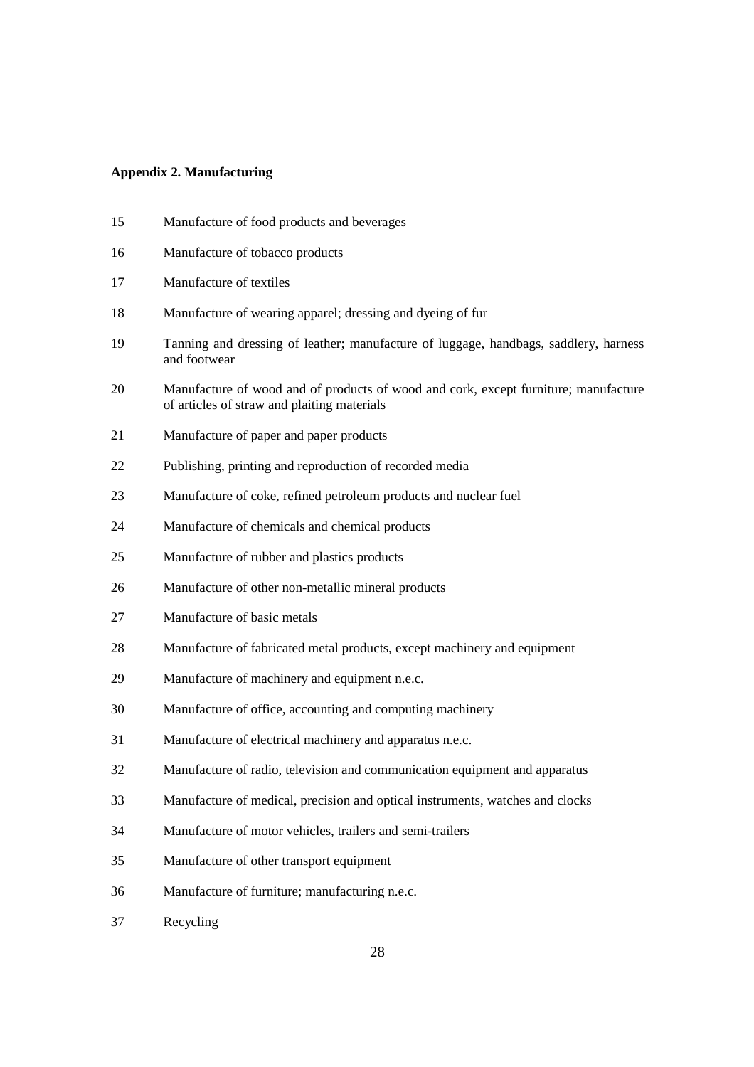#### **Appendix 2. Manufacturing**

- 15 Manufacture of food products and beverages 16 Manufacture of tobacco products 17 Manufacture of textiles 18 Manufacture of wearing apparel; dressing and dyeing of fur 19 Tanning and dressing of leather; manufacture of luggage, handbags, saddlery, harness and footwear 20 Manufacture of wood and of products of wood and cork, except furniture; manufacture of articles of straw and plaiting materials 21 Manufacture of paper and paper products 22 Publishing, printing and reproduction of recorded media 23 Manufacture of coke, refined petroleum products and nuclear fuel 24 Manufacture of chemicals and chemical products 25 Manufacture of rubber and plastics products 26 Manufacture of other non-metallic mineral products 27 Manufacture of basic metals 28 Manufacture of fabricated metal products, except machinery and equipment 29 Manufacture of machinery and equipment n.e.c. 30 Manufacture of office, accounting and computing machinery 31 Manufacture of electrical machinery and apparatus n.e.c. 32 Manufacture of radio, television and communication equipment and apparatus 33 Manufacture of medical, precision and optical instruments, watches and clocks
- 34 Manufacture of motor vehicles, trailers and semi-trailers
- 35 Manufacture of other transport equipment
- 36 Manufacture of furniture; manufacturing n.e.c.
- 37 Recycling